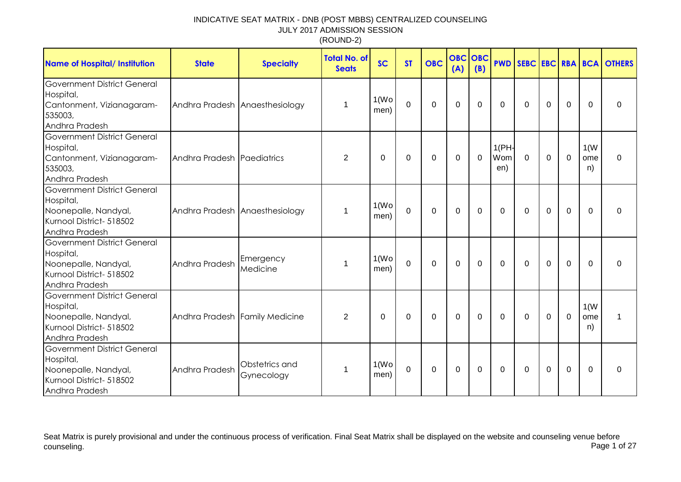| <b>Name of Hospital/ Institution</b>                                                                                  | <b>State</b>                   | <b>Specialty</b>             | <b>Total No. of</b><br><b>Seats</b> | <b>SC</b>                  | <b>ST</b>   | <b>OBC</b>  | <b>OBC</b><br>(A) | OBC<br>(B) |                     |              |          |                |                   | <b>PWD SEBC EBC RBA BCA OTHERS</b> |
|-----------------------------------------------------------------------------------------------------------------------|--------------------------------|------------------------------|-------------------------------------|----------------------------|-------------|-------------|-------------------|------------|---------------------|--------------|----------|----------------|-------------------|------------------------------------|
| <b>Government District General</b><br>Hospital,<br>Cantonment, Vizianagaram-<br>535003,<br>Andhra Pradesh             | Andhra Pradesh Anaesthesiology |                              | 1                                   | 1(W <sub>O</sub> )<br>men) | 0           | $\mathbf 0$ | 0                 | 0          | $\Omega$            | $\Omega$     | 0        | 0              | $\Omega$          | 0                                  |
| <b>Government District General</b><br>Hospital,<br>Cantonment, Vizianagaram-<br>535003,<br>Andhra Pradesh             | Andhra Pradesh Paediatrics     |                              | 2                                   | 0                          | 0           | $\Omega$    | $\Omega$          | $\Omega$   | 1(PH)<br>Wom<br>en) | $\mathbf{0}$ | $\Omega$ | $\mathbf 0$    | 1(W)<br>ome<br>n) | $\Omega$                           |
| <b>Government District General</b><br>Hospital,<br>Noonepalle, Nandyal,<br>Kurnool District- 518502<br>Andhra Pradesh | Andhra Pradesh Anaesthesiology |                              | 1                                   | 1(W <sub>O</sub> )<br>men) | $\mathbf 0$ | $\mathbf 0$ | $\mathbf 0$       | 0          | 0                   | $\mathbf{0}$ | 0        | $\mathbf 0$    | $\Omega$          | 0                                  |
| <b>Government District General</b><br>Hospital,<br>Noonepalle, Nandyal,<br>Kurnool District- 518502<br>Andhra Pradesh | Andhra Pradesh                 | Emergency<br>Medicine        | 1                                   | 1(W <sub>O</sub> )<br>men) | $\mathbf 0$ | $\mathbf 0$ | 0                 | 0          | $\Omega$            | $\Omega$     | $\Omega$ | $\overline{0}$ | $\Omega$          | $\Omega$                           |
| <b>Government District General</b><br>Hospital,<br>Noonepalle, Nandyal,<br>Kurnool District- 518502<br>Andhra Pradesh | Andhra Pradesh Family Medicine |                              | 2                                   | 0                          | 0           | $\Omega$    | $\Omega$          | $\Omega$   | $\mathbf{0}$        | $\mathbf{0}$ | $\Omega$ | $\mathbf 0$    | 1(W)<br>ome<br>n) | 1                                  |
| <b>Government District General</b><br>Hospital,<br>Noonepalle, Nandyal,<br>Kurnool District- 518502<br>Andhra Pradesh | Andhra Pradesh                 | Obstetrics and<br>Gynecology | 1                                   | 1(W <sub>O</sub> )<br>men) | $\mathbf 0$ | $\mathbf 0$ | $\pmb{0}$         | 0          | 0                   | $\mathbf{0}$ | 0        | $\mathbf 0$    | $\Omega$          | 0                                  |

Seat Matrix is purely provisional and under the continuous process of verification. Final Seat Matrix shall be displayed on the website and counseling venue before<br>Page 1 of 27 counseling. Page 1 of 27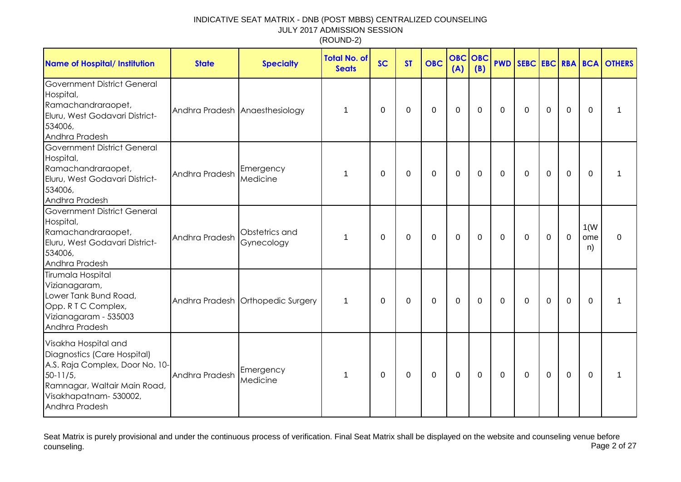| <b>Name of Hospital/ Institution</b>                                                                                                                                              | <b>State</b>                   | <b>Specialty</b>                  | <b>Total No. of</b><br><b>Seats</b> | <b>SC</b>   | <b>ST</b> | <b>OBC</b> | <b>OBC</b><br>(A) | OBC<br>(B)   | <b>PWD</b> |          |             |             |                   | <b>SEBC EBC RBA BCA OTHERS</b> |
|-----------------------------------------------------------------------------------------------------------------------------------------------------------------------------------|--------------------------------|-----------------------------------|-------------------------------------|-------------|-----------|------------|-------------------|--------------|------------|----------|-------------|-------------|-------------------|--------------------------------|
| Government District General<br>Hospital,<br>Ramachandraraopet,<br>Eluru, West Godavari District-<br>534006,<br>Andhra Pradesh                                                     | Andhra Pradesh Anaesthesiology |                                   | 1                                   | 0           | 0         | 0          | $\mathbf 0$       | $\Omega$     | $\Omega$   | $\Omega$ | $\mathbf 0$ | $\mathbf 0$ | 0                 | 1                              |
| <b>Government District General</b><br>Hospital,<br>Ramachandraraopet,<br>Eluru, West Godavari District-<br>534006,<br>Andhra Pradesh                                              | Andhra Pradesh                 | Emergency<br>Medicine             | 1                                   | $\mathbf 0$ | 0         | 0          | $\mathbf 0$       | $\mathbf 0$  | 0          | 0        | 0           | 0           | 0                 | 1                              |
| <b>Government District General</b><br>Hospital,<br>Ramachandraraopet,<br>Eluru, West Godavari District-<br>534006,<br>Andhra Pradesh                                              | Andhra Pradesh                 | Obstetrics and<br>Gynecology      | 1                                   | 0           | 0         | 0          | $\Omega$          | $\Omega$     | $\Omega$   | $\Omega$ | 0           | $\Omega$    | 1(W)<br>ome<br>n) | $\mathbf{0}$                   |
| Tirumala Hospital<br>Vizianagaram,<br>Lower Tank Bund Road,<br>Opp. R T C Complex,<br>Vizianagaram - 535003<br>Andhra Pradesh                                                     |                                | Andhra Pradesh Orthopedic Surgery | $\mathbf 1$                         | 0           | 0         | $\Omega$   | $\Omega$          | $\Omega$     | $\Omega$   | $\Omega$ | $\Omega$    | $\Omega$    | $\Omega$          | 1                              |
| Visakha Hospital and<br>Diagnostics (Care Hospital)<br>A.S. Raja Complex, Door No. 10-<br>$50 - 11/5$<br>Ramnagar, Waltair Main Road,<br>Visakhapatnam- 530002,<br>Andhra Pradesh | Andhra Pradesh                 | Emergency<br>Medicine             | $\mathbf 1$                         | $\Omega$    | 0         | 0          | $\Omega$          | $\mathbf{0}$ | $\Omega$   | $\Omega$ | $\Omega$    | 0           | $\Omega$          | 1                              |

Seat Matrix is purely provisional and under the continuous process of verification. Final Seat Matrix shall be displayed on the website and counseling venue before<br>Page 2 of 27 counseling. Page 2 of 27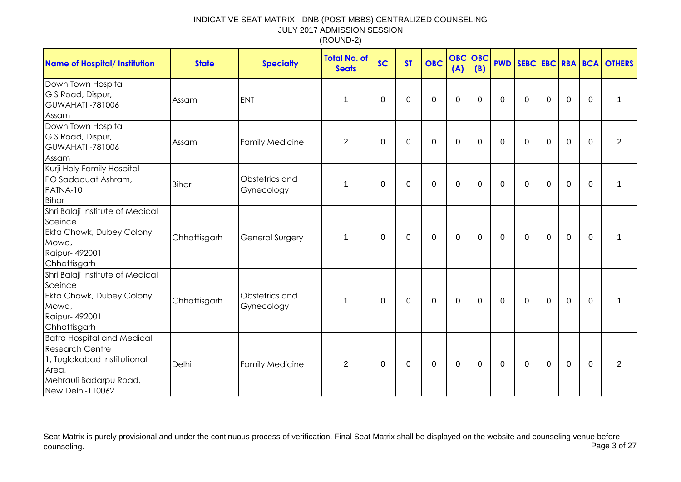| <b>Name of Hospital/ Institution</b>                                                                                                              | <b>State</b> | <b>Specialty</b>             | <b>Total No. of</b><br><b>Seats</b> | <b>SC</b> | <b>ST</b> | <b>OBC</b>  | <b>OBC OBC</b><br>(A) | (B)      |          |              |             |             |             | <b>PWD SEBC EBC RBA BCA OTHERS</b> |
|---------------------------------------------------------------------------------------------------------------------------------------------------|--------------|------------------------------|-------------------------------------|-----------|-----------|-------------|-----------------------|----------|----------|--------------|-------------|-------------|-------------|------------------------------------|
| Down Town Hospital<br>G S Road, Dispur,<br><b>GUWAHATI -781006</b><br>Assam                                                                       | Assam        | <b>ENT</b>                   | 1                                   | 0         | $\Omega$  | $\mathbf 0$ | $\mathbf 0$           | 0        | 0        | $\mathbf 0$  | $\mathbf 0$ | $\mathbf 0$ | $\mathbf 0$ | 1                                  |
| Down Town Hospital<br>G S Road, Dispur,<br><b>GUWAHATI -781006</b><br>Assam                                                                       | Assam        | <b>Family Medicine</b>       | $\overline{2}$                      | $\Omega$  | $\Omega$  | $\mathbf 0$ | $\mathbf 0$           | $\Omega$ | $\Omega$ | $\mathbf{0}$ | $\mathbf 0$ | $\mathbf 0$ | $\Omega$    | $\overline{2}$                     |
| Kurji Holy Family Hospital<br>PO Sadaquat Ashram,<br>PATNA-10<br>Bihar                                                                            | <b>Bihar</b> | Obstetrics and<br>Gynecology | 1                                   | $\Omega$  | $\Omega$  | 0           | $\mathbf 0$           | $\Omega$ | $\Omega$ | $\mathbf{0}$ | $\Omega$    | 0           | $\Omega$    | 1                                  |
| Shri Balaji Institute of Medical<br>Sceince<br>Ekta Chowk, Dubey Colony,<br>Mowa,<br>Raipur- 492001<br>Chhattisgarh                               | Chhattisgarh | <b>General Surgery</b>       | 1                                   | 0         | 0         | 0           | $\mathbf 0$           | 0        | 0        | $\mathbf 0$  | $\mathbf 0$ | $\mathbf 0$ | 0           | 1                                  |
| Shri Balaji Institute of Medical<br>Sceince<br>Ekta Chowk, Dubey Colony,<br>Mowa,<br>Raipur- 492001<br>Chhattisgarh                               | Chhattisgarh | Obstetrics and<br>Gynecology | 1                                   | $\Omega$  | $\Omega$  | 0           | $\Omega$              | $\Omega$ | $\Omega$ | $\mathbf{0}$ | $\Omega$    | 0           | $\Omega$    | 1                                  |
| <b>Batra Hospital and Medical</b><br><b>Research Centre</b><br>1, Tuglakabad Institutional<br>Area,<br>Mehrauli Badarpu Road,<br>New Delhi-110062 | Delhi        | <b>Family Medicine</b>       | $\overline{2}$                      | 0         | 0         | 0           | $\mathbf 0$           | 0        | 0        | 0            | 0           | 0           | 0           | $\overline{2}$                     |

Seat Matrix is purely provisional and under the continuous process of verification. Final Seat Matrix shall be displayed on the website and counseling venue before<br>Page 3 of 27 counseling. Page 3 of 27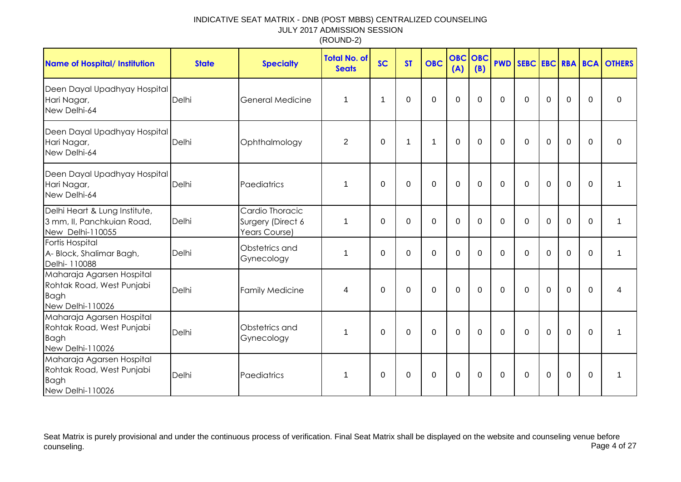| <b>Name of Hospital/ Institution</b>                                                      | <b>State</b> | <b>Specialty</b>                                      | <b>Total No. of</b><br><b>Seats</b> | <b>SC</b>   | <b>ST</b>    | <b>OBC</b>     | <b>OBC</b><br>(A) | <b>OBC</b><br>(B) | <b>PWD</b>     |              |             |             |                | <b>SEBC EBC RBA BCA OTHERS</b> |
|-------------------------------------------------------------------------------------------|--------------|-------------------------------------------------------|-------------------------------------|-------------|--------------|----------------|-------------------|-------------------|----------------|--------------|-------------|-------------|----------------|--------------------------------|
| Deen Dayal Upadhyay Hospital<br>Hari Nagar,<br>New Delhi-64                               | Delhi        | General Medicine                                      | 1                                   | $\mathbf 1$ | $\Omega$     | $\Omega$       | $\overline{0}$    | $\Omega$          | $\Omega$       | $\Omega$     | $\Omega$    | 0           | $\Omega$       | $\Omega$                       |
| Deen Dayal Upadhyay Hospital<br>Hari Nagar,<br>New Delhi-64                               | Delhi        | Ophthalmology                                         | $\overline{2}$                      | $\mathbf 0$ | $\mathbf{1}$ | $\mathbf{1}$   | $\mathbf 0$       | $\mathbf 0$       | $\Omega$       | $\mathbf 0$  | $\mathbf 0$ | $\mathbf 0$ | $\mathbf 0$    | 0                              |
| Deen Dayal Upadhyay Hospital<br>Hari Nagar,<br>New Delhi-64                               | Delhi        | Paediatrics                                           | 1                                   | $\mathbf 0$ | $\mathbf 0$  | $\overline{0}$ | $\mathbf 0$       | $\mathbf 0$       | $\mathbf 0$    | $\mathbf 0$  | $\mathbf 0$ | $\mathbf 0$ | $\overline{0}$ | 1                              |
| Delhi Heart & Lung Institute,<br>3 mm, II, Panchkuian Road,<br>New Delhi-110055           | Delhi        | Cardio Thoracic<br>Surgery (Direct 6<br>Years Course) | 1                                   | $\Omega$    | $\Omega$     | $\Omega$       | $\Omega$          | $\Omega$          | $\Omega$       | $\Omega$     | $\Omega$    | $\Omega$    | $\Omega$       | 1                              |
| Fortis Hospital<br>A- Block, Shalimar Bagh,<br>Delhi- 110088                              | Delhi        | Obstetrics and<br>Gynecology                          | 1                                   | $\mathbf 0$ | $\mathbf 0$  | $\mathbf 0$    | $\mathbf 0$       | $\mathbf 0$       | $\overline{0}$ | $\mathbf 0$  | $\mathbf 0$ | $\mathbf 0$ | 0              | 1                              |
| Maharaja Agarsen Hospital<br>Rohtak Road, West Punjabi<br><b>Bagh</b><br>New Delhi-110026 | Delhi        | <b>Family Medicine</b>                                | 4                                   | $\mathbf 0$ | $\mathbf 0$  | $\mathbf 0$    | $\mathbf{0}$      | $\mathbf 0$       | $\mathbf 0$    | $\mathbf 0$  | $\mathbf 0$ | $\mathbf 0$ | $\Omega$       | 4                              |
| Maharaja Agarsen Hospital<br>Rohtak Road, West Punjabi<br><b>Bagh</b><br>New Delhi-110026 | Delhi        | Obstetrics and<br>Gynecology                          | 1                                   | $\Omega$    | $\mathbf 0$  | $\mathbf 0$    | $\overline{0}$    | $\Omega$          | $\Omega$       | $\Omega$     | $\mathbf 0$ | $\mathbf 0$ | $\overline{0}$ | 1                              |
| Maharaja Agarsen Hospital<br>Rohtak Road, West Punjabi<br><b>Bagh</b><br>New Delhi-110026 | Delhi        | Paediatrics                                           | 1                                   | 0           | 0            | 0              | $\mathbf 0$       | $\Omega$          | $\mathbf{0}$   | $\mathbf{0}$ | $\Omega$    | 0           | $\mathbf 0$    | 1                              |

Seat Matrix is purely provisional and under the continuous process of verification. Final Seat Matrix shall be displayed on the website and counseling venue before<br>Page 4 of 27 counseling. Page 4 of 27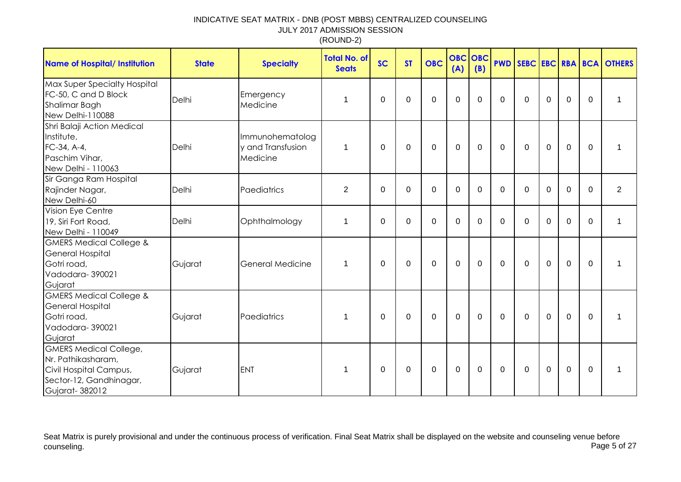| <b>Name of Hospital/ Institution</b>                                                                                       | <b>State</b> | <b>Specialty</b>                                 | <b>Total No. of</b><br><b>Seats</b> | <b>SC</b>   | <b>ST</b>   | <b>OBC</b>       | <b>OBC</b><br>(A) | <b>OBC</b><br>(B) | <b>PWD</b>   |              |             |                |             | SEBC EBC RBA BCA OTHERS |
|----------------------------------------------------------------------------------------------------------------------------|--------------|--------------------------------------------------|-------------------------------------|-------------|-------------|------------------|-------------------|-------------------|--------------|--------------|-------------|----------------|-------------|-------------------------|
| Max Super Specialty Hospital<br>FC-50, C and D Block<br>Shalimar Bagh<br>New Delhi-110088                                  | Delhi        | Emergency<br>Medicine                            | 1                                   | $\mathbf 0$ | $\Omega$    | $\mathbf 0$      | $\mathbf 0$       | $\Omega$          | $\Omega$     | $\Omega$     | $\mathbf 0$ | $\overline{0}$ | $\Omega$    |                         |
| Shri Balaji Action Medical<br>Institute,<br>FC-34, A-4,<br>Paschim Vihar,<br>New Delhi - 110063                            | Delhi        | Immunohematolog<br>y and Transfusion<br>Medicine | 1                                   | 0           | 0           | $\mathbf 0$      | $\mathbf 0$       | 0                 | 0            | $\mathbf{0}$ | $\mathbf 0$ | $\mathbf 0$    | $\mathbf 0$ |                         |
| Sir Ganga Ram Hospital<br>Rajinder Nagar,<br>New Delhi-60                                                                  | Delhi        | Paediatrics                                      | $\overline{c}$                      | 0           | 0           | 0                | 0                 | 0                 | $\Omega$     | $\Omega$     | $\Omega$    | 0              | $\Omega$    | $\overline{2}$          |
| Vision Eye Centre<br>19, Siri Fort Road,<br>New Delhi - 110049                                                             | Delhi        | Ophthalmology                                    | 1                                   | 0           | 0           | $\mathbf 0$      | $\mathbf 0$       | 0                 | $\Omega$     | 0            | $\mathbf 0$ | $\mathbf 0$    | $\Omega$    | 1                       |
| <b>GMERS Medical College &amp;</b><br><b>General Hospital</b><br>Gotri road,<br>Vadodara-390021<br>Gujarat                 | Gujarat      | <b>General Medicine</b>                          | $\mathbf 1$                         | $\Omega$    | $\Omega$    | $\mathbf 0$      | $\overline{0}$    | $\Omega$          | $\mathbf{0}$ | $\Omega$     | $\mathbf 0$ | $\overline{0}$ | $\Omega$    |                         |
| <b>GMERS Medical College &amp;</b><br><b>General Hospital</b><br>Gotri road,<br>Vadodara-390021<br>Gujarat                 | Gujarat      | Paediatrics                                      | $\mathbf 1$                         | $\mathbf 0$ | $\mathbf 0$ | $\mathbf 0$      | $\mathbf 0$       | 0                 | $\mathbf 0$  | $\Omega$     | $\mathbf 0$ | $\mathbf 0$    | $\Omega$    | 1                       |
| <b>GMERS Medical College,</b><br>Nr. Pathikasharam,<br>Civil Hospital Campus,<br>Sector-12, Gandhinagar,<br>Gujarat-382012 | Gujarat      | <b>ENT</b>                                       | 1                                   | 0           | 0           | $\boldsymbol{0}$ | $\pmb{0}$         | $\mathbf 0$       | 0            | 0            | $\mathbf 0$ | $\mathbf 0$    | $\Omega$    | 1                       |

Seat Matrix is purely provisional and under the continuous process of verification. Final Seat Matrix shall be displayed on the website and counseling venue before<br>Page 5 of 27 counseling. Page 5 of 27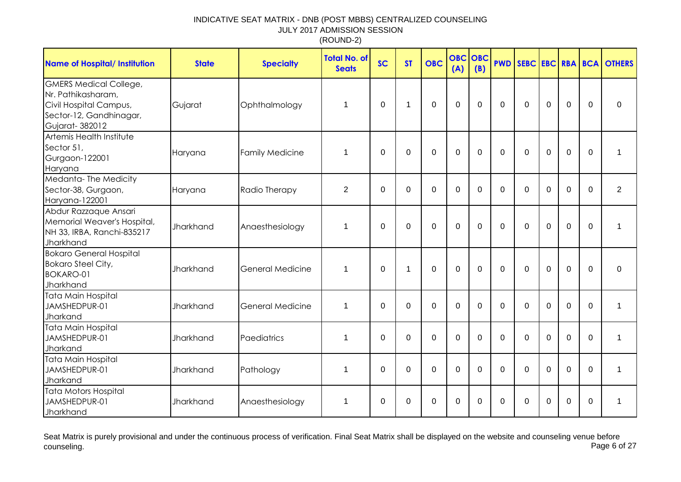| <b>Name of Hospital/ Institution</b>                                                                                       | <b>State</b> | <b>Specialty</b>        | <b>Total No. of</b><br><b>Seats</b> | <b>SC</b>   | <b>ST</b> | <b>OBC</b> | <b>OBC</b><br>(A) | OBC<br>(B)   | <b>PWD</b>  |             |             |             |             | <b>SEBC EBC RBA BCA OTHERS</b> |
|----------------------------------------------------------------------------------------------------------------------------|--------------|-------------------------|-------------------------------------|-------------|-----------|------------|-------------------|--------------|-------------|-------------|-------------|-------------|-------------|--------------------------------|
| <b>GMERS Medical College,</b><br>Nr. Pathikasharam,<br>Civil Hospital Campus,<br>Sector-12, Gandhinagar,<br>Gujarat-382012 | Gujarat      | Ophthalmology           | 1                                   | 0           | 1         | 0          | $\mathbf 0$       | 0            | 0           | 0           | $\mathbf 0$ | $\mathbf 0$ | 0           | 0                              |
| Artemis Health Institute<br>Sector 51,<br>Gurgaon-122001<br>Haryana                                                        | Haryana      | <b>Family Medicine</b>  | 1                                   | $\Omega$    | $\Omega$  | 0          | $\overline{0}$    | $\Omega$     | $\Omega$    | $\Omega$    | $\Omega$    | $\mathbf 0$ | $\mathbf 0$ | 1                              |
| Medanta-The Medicity<br>Sector-38, Gurgaon,<br>Haryana-122001                                                              | Haryana      | Radio Therapy           | 2                                   | 0           | 0         | $\Omega$   | 0                 | $\Omega$     | 0           | $\Omega$    | $\Omega$    | $\Omega$    | $\Omega$    | $\overline{2}$                 |
| Abdur Razzaque Ansari<br>Memorial Weaver's Hospital,<br>NH 33, IRBA, Ranchi-835217<br>Jharkhand                            | Jharkhand    | Anaesthesiology         | $\mathbf 1$                         | 0           | $\Omega$  | $\Omega$   | $\mathbf 0$       | $\mathbf{0}$ | $\Omega$    | $\Omega$    | $\Omega$    | $\Omega$    | $\Omega$    | 1                              |
| <b>Bokaro General Hospital</b><br><b>Bokaro Steel City,</b><br><b>BOKARO-01</b><br>Jharkhand                               | Jharkhand    | <b>General Medicine</b> | $\mathbf 1$                         | 0           | 1         | 0          | $\overline{0}$    | $\Omega$     | $\mathbf 0$ | $\Omega$    | $\mathbf 0$ | $\mathbf 0$ | $\mathbf 0$ | $\mathbf 0$                    |
| Tata Main Hospital<br>JAMSHEDPUR-01<br>Jharkand                                                                            | Jharkhand    | <b>General Medicine</b> | 1                                   | $\mathbf 0$ | 0         | 0          | $\mathbf{0}$      | $\Omega$     | $\mathbf 0$ | $\mathbf 0$ | $\mathbf 0$ | $\mathbf 0$ | $\Omega$    | 1                              |
| <b>Tata Main Hospital</b><br>JAMSHEDPUR-01<br>Jharkand                                                                     | Jharkhand    | Paediatrics             | 1                                   | $\mathbf 0$ | $\Omega$  | 0          | 0                 | $\Omega$     | $\Omega$    | $\Omega$    | $\Omega$    | 0           | $\Omega$    | 1                              |
| Tata Main Hospital<br>JAMSHEDPUR-01<br>Jharkand                                                                            | Jharkhand    | Pathology               | 1                                   | $\Omega$    | $\Omega$  | $\Omega$   | $\Omega$          | $\Omega$     | $\Omega$    | $\Omega$    | $\Omega$    | $\Omega$    | $\Omega$    | 1                              |
| Tata Motors Hospital<br>JAMSHEDPUR-01<br>Jharkhand                                                                         | Jharkhand    | Anaesthesiology         | $\mathbf{1}$                        | 0           | 0         | 0          | $\Omega$          | $\Omega$     | 0           | $\Omega$    | $\Omega$    | $\Omega$    | $\Omega$    | 1                              |

Seat Matrix is purely provisional and under the continuous process of verification. Final Seat Matrix shall be displayed on the website and counseling venue before<br>Page 6 of 27 counseling. Page 6 of 27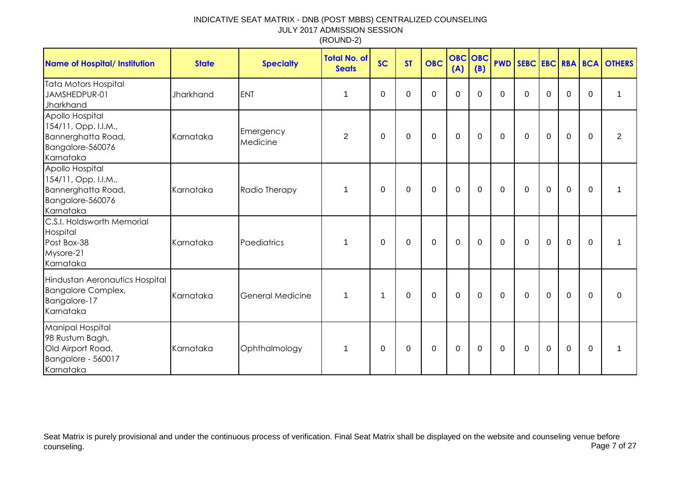| <b>Name of Hospital/ Institution</b>                                                               | <b>State</b> | <b>Specialty</b>        | <b>Total No. of</b><br><b>Seats</b> | <b>SC</b>   | <b>ST</b> | <b>OBC</b>  | <b>OBC</b> OBC<br>(A) | (B)          | <b>PWD</b>   |              |             |             |              | SEBC EBC RBA BCA OTHERS |
|----------------------------------------------------------------------------------------------------|--------------|-------------------------|-------------------------------------|-------------|-----------|-------------|-----------------------|--------------|--------------|--------------|-------------|-------------|--------------|-------------------------|
| <b>Tata Motors Hospital</b><br>JAMSHEDPUR-01<br>Jharkhand                                          | Jharkhand    | <b>ENT</b>              | 1                                   | $\Omega$    | $\Omega$  | $\Omega$    | $\Omega$              | $\Omega$     | $\Omega$     | $\Omega$     | $\Omega$    | $\Omega$    | $\Omega$     | 1                       |
| Apollo Hospital<br>154/11, Opp. I.I.M.,<br>Bannerghatta Road,<br>Bangalore-560076<br>Karnataka     | Karnataka    | Emergency<br>Medicine   | $\overline{2}$                      | 0           | 0         | $\mathbf 0$ | $\mathbf 0$           | $\mathbf 0$  | $\mathbf 0$  | $\mathbf 0$  | $\mathbf 0$ | $\mathbf 0$ | $\Omega$     | $\overline{2}$          |
| Apollo Hospital<br>154/11, Opp. I.I.M.,<br>Bannerghatta Road,<br>Bangalore-560076<br>Karnataka     | Karnataka    | Radio Therapy           | 1                                   | 0           | 0         | $\mathbf 0$ | $\mathbf 0$           | $\mathbf 0$  | $\mathbf 0$  | $\mathbf 0$  | $\mathbf 0$ | $\mathbf 0$ | $\mathbf{0}$ | 1                       |
| C.S.I. Holdsworth Memorial<br>Hospital<br>Post Box-38<br>Mysore-21<br>Karnataka                    | Karnataka    | Paediatrics             | 1                                   | $\Omega$    | 0         | $\mathbf 0$ | $\mathbf 0$           | $\mathbf 0$  | $\mathbf 0$  | $\mathbf 0$  | $\mathbf 0$ | $\mathbf 0$ | $\mathbf 0$  | $\mathbf 1$             |
| Hindustan Aeronautics Hospital<br><b>Bangalore Complex,</b><br>Bangalore-17<br>Karnataka           | Karnataka    | <b>General Medicine</b> | $\mathbf 1$                         | $\mathbf 1$ | 0         | 0           | 0                     | $\mathbf{0}$ | $\mathbf{0}$ | $\mathbf{0}$ | $\mathbf 0$ | $\Omega$    | $\mathbf{0}$ | $\Omega$                |
| <b>Manipal Hospital</b><br>98 Rustum Bagh,<br>Old Airport Road,<br>Bangalore - 560017<br>Karnataka | Karnataka    | Ophthalmology           | 1                                   | 0           | 0         | 0           | $\mathbf 0$           | 0            | $\mathbf 0$  | 0            | $\mathbf 0$ | 0           | $\mathbf{0}$ | 1                       |

Seat Matrix is purely provisional and under the continuous process of verification. Final Seat Matrix shall be displayed on the website and counseling venue before<br>Page 7 of 27 counseling. Page 7 of 27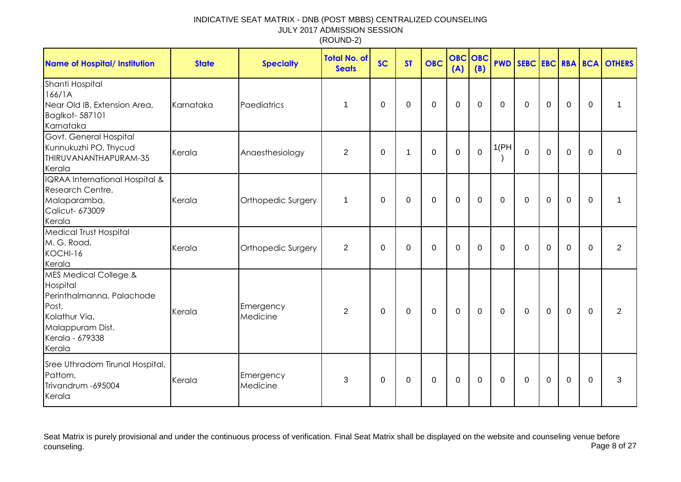| <b>Name of Hospital/ Institution</b>                                                                                                                 | <b>State</b> | <b>Specialty</b>      | <b>Total No. of</b><br><b>Seats</b> | <b>SC</b>   | <b>ST</b>    | <b>OBC</b>  | <b>OBC</b><br>(A) | OBC<br>(B)  |              |              |                |             |             | <b>PWD SEBC EBC RBA BCA OTHERS</b> |
|------------------------------------------------------------------------------------------------------------------------------------------------------|--------------|-----------------------|-------------------------------------|-------------|--------------|-------------|-------------------|-------------|--------------|--------------|----------------|-------------|-------------|------------------------------------|
| Shanti Hospital<br>166/1A<br>Near Old IB, Extension Area,<br>Baglkot-587101<br>Karnataka                                                             | Karnataka    | Paediatrics           | $\mathbf{1}$                        | 0           | $\mathbf 0$  | $\mathbf 0$ | $\mathbf 0$       | $\mathbf 0$ | $\mathbf 0$  | $\mathbf 0$  | $\mathbf 0$    | $\mathbf 0$ | $\mathbf 0$ | 1                                  |
| Govt. General Hospital<br>Kunnukuzhi PO, Thycud<br>THIRUVANANTHAPURAM-35<br>Kerala                                                                   | Kerala       | Anaesthesiology       | 2                                   | 0           | $\mathbf{1}$ | $\mathbf 0$ | $\mathbf 0$       | $\mathbf 0$ | 1(PH)        | $\mathbf 0$  | $\overline{0}$ | $\mathbf 0$ | $\Omega$    | 0                                  |
| IQRAA International Hospital &<br>Research Centre,<br>Malaparamba,<br><b>Calicut- 673009</b><br>Kerala                                               | Kerala       | Orthopedic Surgery    | $\mathbf{1}$                        | $\Omega$    | 0            | $\mathbf 0$ | $\mathbf 0$       | 0           | $\mathbf{0}$ | $\Omega$     | $\mathbf 0$    | $\mathbf 0$ | $\Omega$    |                                    |
| Medical Trust Hospital<br>M. G. Road,<br>KOCHI-16<br>Kerala                                                                                          | Kerala       | Orthopedic Surgery    | $\overline{2}$                      | 0           | 0            | $\mathbf 0$ | $\mathbf 0$       | 0           | $\mathbf{0}$ | 0            | $\mathbf 0$    | $\mathbf 0$ | $\Omega$    | $\overline{2}$                     |
| <b>MES Medical College &amp;</b><br>Hospital<br>Perinthalmanna, Palachode<br>Post,<br>Kolathur Via,<br>Malappuram Dist.<br>Kerala - 679338<br>Kerala | Kerala       | Emergency<br>Medicine | $\overline{2}$                      | $\mathbf 0$ | $\mathbf 0$  | $\mathbf 0$ | $\mathbf 0$       | $\mathbf 0$ | $\mathbf 0$  | $\mathbf 0$  | $\mathbf 0$    | $\mathbf 0$ | $\Omega$    | $\overline{2}$                     |
| Sree Uthradom Tirunal Hospital,<br>Pattom,<br>Trivandrum - 695004<br>Kerala                                                                          | Kerala       | Emergency<br>Medicine | 3                                   | $\Omega$    | 0            | $\mathbf 0$ | $\mathbf 0$       | 0           | $\mathbf{0}$ | $\mathbf{0}$ | $\mathbf 0$    | $\mathbf 0$ | $\Omega$    | 3                                  |

Seat Matrix is purely provisional and under the continuous process of verification. Final Seat Matrix shall be displayed on the website and counseling venue before<br>Page 8 of 27 counseling. Page 8 of 27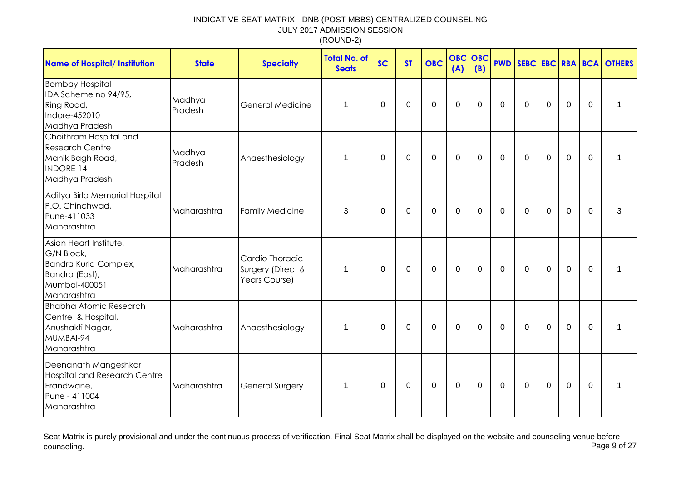| <b>Name of Hospital/ Institution</b>                                                                            | <b>State</b>      | <b>Specialty</b>                                      | <b>Total No. of</b><br><b>Seats</b> | <b>SC</b> | <b>ST</b>   | <b>OBC</b>  | <b>OBC</b><br>(A) | OBC<br>(B)  |              |              |                |                |          | <b>PWD SEBC EBC RBA BCA OTHERS</b> |
|-----------------------------------------------------------------------------------------------------------------|-------------------|-------------------------------------------------------|-------------------------------------|-----------|-------------|-------------|-------------------|-------------|--------------|--------------|----------------|----------------|----------|------------------------------------|
| <b>Bombay Hospital</b><br>IDA Scheme no 94/95,<br>Ring Road,<br>Indore-452010<br>Madhya Pradesh                 | Madhya<br>Pradesh | <b>General Medicine</b>                               | $\mathbf 1$                         | 0         | 0           | $\mathbf 0$ | $\mathbf 0$       | 0           | $\mathbf{0}$ | $\Omega$     | $\mathbf 0$    | $\mathbf 0$    | $\Omega$ | 1                                  |
| Choithram Hospital and<br><b>Research Centre</b><br>Manik Bagh Road,<br>INDORE-14<br>Madhya Pradesh             | Madhya<br>Pradesh | Anaesthesiology                                       | $\mathbf 1$                         | 0         | 0           | $\mathbf 0$ | $\mathbf 0$       | 0           | $\mathbf{0}$ | $\mathbf{0}$ | $\mathbf 0$    | $\mathbf 0$    | $\Omega$ | 1                                  |
| Aditya Birla Memorial Hospital<br>P.O. Chinchwad,<br>Pune-411033<br>Maharashtra                                 | Maharashtra       | <b>Family Medicine</b>                                | 3                                   | $\Omega$  | $\Omega$    | $\mathbf 0$ | $\mathbf 0$       | $\Omega$    | $\Omega$     | $\mathbf{0}$ | $\Omega$       | $\overline{0}$ | $\Omega$ | 3                                  |
| Asian Heart Institute,<br>G/N Block,<br>Bandra Kurla Complex,<br>Bandra (East),<br>Mumbai-400051<br>Maharashtra | Maharashtra       | Cardio Thoracic<br>Surgery (Direct 6<br>Years Course) | 1                                   | $\Omega$  | 0           | $\mathbf 0$ | $\mathbf 0$       | $\mathbf 0$ | $\mathbf{0}$ | $\Omega$     | $\mathbf 0$    | $\mathbf 0$    | $\Omega$ | 1                                  |
| <b>Bhabha Atomic Research</b><br>Centre & Hospital,<br>Anushakti Nagar,<br>MUMBAI-94<br>Maharashtra             | Maharashtra       | Anaesthesiology                                       | $\mathbf{1}$                        | 0         | $\mathbf 0$ | $\mathbf 0$ | $\mathbf 0$       | $\mathbf 0$ | $\mathbf 0$  | $\mathbf 0$  | $\overline{0}$ | $\overline{0}$ | $\Omega$ | 1                                  |
| Deenanath Mangeshkar<br>Hospital and Research Centre<br>Erandwane,<br>Pune - 411004<br>Maharashtra              | Maharashtra       | <b>General Surgery</b>                                | 1                                   | 0         | 0           | $\mathbf 0$ | $\mathbf 0$       | 0           | 0            | $\mathbf{0}$ | $\mathbf 0$    | $\mathbf 0$    | $\Omega$ | 1                                  |

Seat Matrix is purely provisional and under the continuous process of verification. Final Seat Matrix shall be displayed on the website and counseling venue before<br>Page 9 of 27 counseling. Page 9 of 27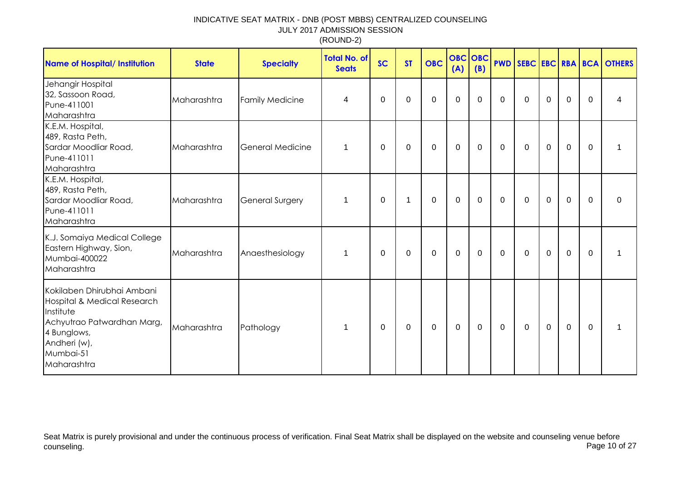| <b>Name of Hospital/ Institution</b>                                                                                                                            | <b>State</b> | <b>Specialty</b>        | <b>Total No. of</b><br><b>Seats</b> | <b>SC</b>   | <b>ST</b>   | <b>OBC</b>  | <b>OBC</b> OBC<br>(A) | (B)            |             |             |             |             |             | <b>PWD SEBC EBC RBA BCA OTHERS</b> |
|-----------------------------------------------------------------------------------------------------------------------------------------------------------------|--------------|-------------------------|-------------------------------------|-------------|-------------|-------------|-----------------------|----------------|-------------|-------------|-------------|-------------|-------------|------------------------------------|
| Jehangir Hospital<br>32, Sassoon Road,<br>Pune-411001<br>Maharashtra                                                                                            | Maharashtra  | <b>Family Medicine</b>  | 4                                   | 0           | 0           | $\mathbf 0$ | $\mathbf 0$           | $\mathbf 0$    | $\mathbf 0$ | $\mathbf 0$ | $\mathbf 0$ | $\mathbf 0$ | $\mathbf 0$ | 4                                  |
| K.E.M. Hospital,<br>489, Rasta Peth,<br>Sardar Moodliar Road,<br>Pune-411011<br>Maharashtra                                                                     | Maharashtra  | <b>General Medicine</b> | 1                                   | 0           | 0           | $\mathbf 0$ | $\mathbf 0$           | 0              | $\mathbf 0$ | $\mathbf 0$ | $\mathbf 0$ | $\mathbf 0$ | $\mathbf 0$ | 1                                  |
| K.E.M. Hospital,<br>489, Rasta Peth,<br>Sardar Moodliar Road,<br>Pune-411011<br>Maharashtra                                                                     | Maharashtra  | <b>General Surgery</b>  | 1                                   | 0           | 1           | 0           | $\mathbf 0$           | 0              | 0           | 0           | $\mathbf 0$ | $\mathbf 0$ | $\mathbf 0$ | 0                                  |
| K.J. Somaiya Medical College<br>Eastern Highway, Sion,<br>Mumbai-400022<br>Maharashtra                                                                          | Maharashtra  | Anaesthesiology         | 1                                   | 0           | 0           | 0           | $\mathbf 0$           | 0              | 0           | 0           | 0           | $\mathbf 0$ | $\mathbf 0$ | 1                                  |
| Kokilaben Dhirubhai Ambani<br>Hospital & Medical Research<br>Institute<br>Achyutrao Patwardhan Marg,<br>4 Bunglows,<br>Andheri (w),<br>Mumbai-51<br>Maharashtra | Maharashtra  | Pathology               | $\mathbf{1}$                        | $\mathbf 0$ | $\mathbf 0$ | $\mathbf 0$ | $\mathbf 0$           | $\overline{0}$ | $\mathbf 0$ | $\mathbf 0$ | $\mathbf 0$ | $\mathbf 0$ | $\mathbf 0$ | 1                                  |

Seat Matrix is purely provisional and under the continuous process of verification. Final Seat Matrix shall be displayed on the website and counseling venue before<br>Page 10 of 27 counseling. Page 10 of 27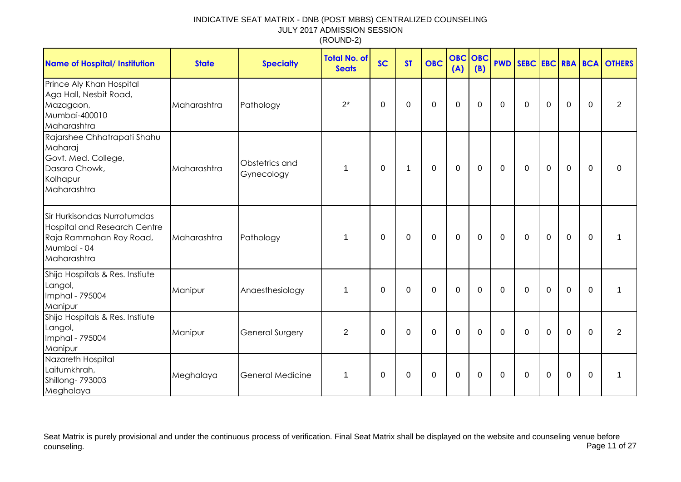| <b>Name of Hospital/ Institution</b>                                                                                        | <b>State</b> | <b>Specialty</b>             | <b>Total No. of</b><br><b>Seats</b> | <b>SC</b>   | <b>ST</b>    | <b>OBC</b>       | <b>OBC OBC</b><br>(A) | (B)         |              |             |             |                |             | <b>PWD SEBC EBC RBA BCA OTHERS</b> |
|-----------------------------------------------------------------------------------------------------------------------------|--------------|------------------------------|-------------------------------------|-------------|--------------|------------------|-----------------------|-------------|--------------|-------------|-------------|----------------|-------------|------------------------------------|
| Prince Aly Khan Hospital<br>Aga Hall, Nesbit Road,<br>Mazagaon,<br>Mumbai-400010<br>Maharashtra                             | Maharashtra  | Pathology                    | $2^*$                               | $\Omega$    | $\mathbf 0$  | $\mathbf 0$      | $\mathbf 0$           | $\mathbf 0$ | $\Omega$     | $\Omega$    | $\mathbf 0$ | $\overline{0}$ | $\Omega$    | $\overline{2}$                     |
| Rajarshee Chhatrapati Shahu<br>Maharaj<br>Govt. Med. College,<br>Dasara Chowk,<br>Kolhapur<br>Maharashtra                   | Maharashtra  | Obstetrics and<br>Gynecology | 1                                   | $\Omega$    | $\mathbf{1}$ | $\boldsymbol{0}$ | $\mathbf 0$           | 0           | $\mathbf{0}$ | $\mathbf 0$ | $\mathbf 0$ | $\mathbf 0$    | $\Omega$    | $\Omega$                           |
| Sir Hurkisondas Nurrotumdas<br><b>Hospital and Research Centre</b><br>Raja Rammohan Roy Road,<br>Mumbai - 04<br>Maharashtra | Maharashtra  | Pathology                    | 1                                   | $\Omega$    | 0            | $\mathbf 0$      | $\mathbf 0$           | 0           | $\mathbf 0$  | $\Omega$    | $\mathbf 0$ | $\mathbf 0$    | $\Omega$    |                                    |
| Shija Hospitals & Res. Instiute<br>Langol,<br>Imphal - 795004<br>Manipur                                                    | Manipur      | Anaesthesiology              | 1                                   | $\mathbf 0$ | 0            | $\mathbf 0$      | $\mathbf 0$           | $\mathbf 0$ | $\mathbf 0$  | $\mathbf 0$ | $\mathbf 0$ | $\mathbf 0$    | $\mathbf 0$ |                                    |
| Shija Hospitals & Res. Instiute<br>Langol,<br>Imphal - 795004<br>Manipur                                                    | Manipur      | General Surgery              | $\overline{2}$                      | $\Omega$    | $\Omega$     | $\mathbf 0$      | $\mathbf 0$           | $\Omega$    | $\mathbf{0}$ | $\Omega$    | $\Omega$    | $\overline{0}$ | $\Omega$    | $\overline{2}$                     |
| Nazareth Hospital<br>Laitumkhrah,<br>Shillong-793003<br>Meghalaya                                                           | Meghalaya    | General Medicine             | 1                                   | 0           | 0            | $\mathbf 0$      | $\boldsymbol{0}$      | 0           | 0            | 0           | $\mathbf 0$ | $\mathbf 0$    | 0           | 1                                  |

Seat Matrix is purely provisional and under the continuous process of verification. Final Seat Matrix shall be displayed on the website and counseling venue before<br>Page 11 of 27 counseling. Page 11 of 27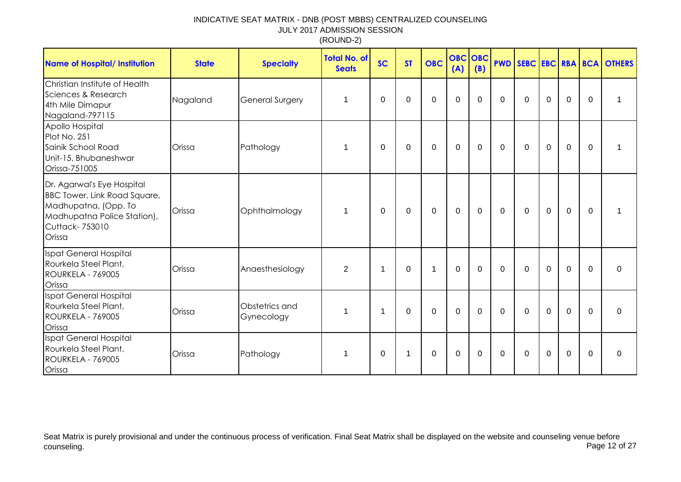| <b>Name of Hospital/ Institution</b>                                                                                                          | <b>State</b> | <b>Specialty</b>             | <b>Total No. of</b><br><b>Seats</b> | <b>SC</b>      | <b>ST</b>   | <b>OBC</b>  | <b>OBC OBC</b><br>(A) | (B)         |                |             |             |             |              | <b>PWD SEBC EBC RBA BCA OTHERS</b> |
|-----------------------------------------------------------------------------------------------------------------------------------------------|--------------|------------------------------|-------------------------------------|----------------|-------------|-------------|-----------------------|-------------|----------------|-------------|-------------|-------------|--------------|------------------------------------|
| Christian Institute of Health<br>Sciences & Research<br>4th Mile Dimapur<br>Nagaland-797115                                                   | Nagaland     | <b>General Surgery</b>       | $\mathbf 1$                         | 0              | 0           | $\mathbf 0$ | $\mathbf 0$           | $\mathbf 0$ | 0              | $\mathbf 0$ | $\mathbf 0$ | $\mathbf 0$ | 0            | 1                                  |
| Apollo Hospital<br>Plot No. 251<br>Sainik School Road<br>Unit-15, Bhubaneshwar<br>Orissa-751005                                               | Orissa       | Pathology                    | 1                                   | 0              | 0           | $\mathbf 0$ | $\mathbf 0$           | 0           | $\mathbf{0}$   | $\Omega$    | $\mathbf 0$ | $\mathbf 0$ | $\mathbf{0}$ | 1                                  |
| Dr. Agarwal's Eye Hospital<br>BBC Tower, Link Road Square,<br>Madhupatna, (Opp. To<br>Madhupatna Police Station),<br>Cuttack-753010<br>Orissa | Orissa       | Ophthalmology                | 1                                   | $\Omega$       | $\mathbf 0$ | $\mathbf 0$ | $\mathbf 0$           | $\mathbf 0$ | $\Omega$       | $\Omega$    | $\mathbf 0$ | $\mathbf 0$ | $\Omega$     | 1                                  |
| <b>Ispat General Hospital</b><br>Rourkela Steel Plant,<br><b>ROURKELA - 769005</b><br>Orissa                                                  | Orissa       | Anaesthesiology              | $\overline{2}$                      | $\mathbf 1$    | $\Omega$    | $\mathbf 1$ | $\mathbf 0$           | $\mathbf 0$ | $\Omega$       | $\Omega$    | $\mathbf 0$ | $\mathbf 0$ | $\Omega$     | $\Omega$                           |
| <b>Ispat General Hospital</b><br>Rourkela Steel Plant,<br><b>ROURKELA - 769005</b><br>Orissa                                                  | Orissa       | Obstetrics and<br>Gynecology | $\mathbf 1$                         | $\overline{1}$ | $\Omega$    | $\mathbf 0$ | $\mathbf 0$           | $\mathbf 0$ | $\overline{0}$ | $\Omega$    | $\mathbf 0$ | $\mathbf 0$ | $\mathbf{0}$ | $\Omega$                           |
| Ispat General Hospital<br>Rourkela Steel Plant,<br><b>ROURKELA - 769005</b><br>Orissa                                                         | Orissa       | Pathology                    | 1                                   | 0              | 1           | $\mathbf 0$ | $\mathbf 0$           | $\Omega$    | $\mathbf{0}$   | $\mathbf 0$ | $\mathbf 0$ | $\mathbf 0$ | $\mathbf{0}$ | 0                                  |

Seat Matrix is purely provisional and under the continuous process of verification. Final Seat Matrix shall be displayed on the website and counseling venue before<br>Page 12 of 27 counseling. Page 12 of 27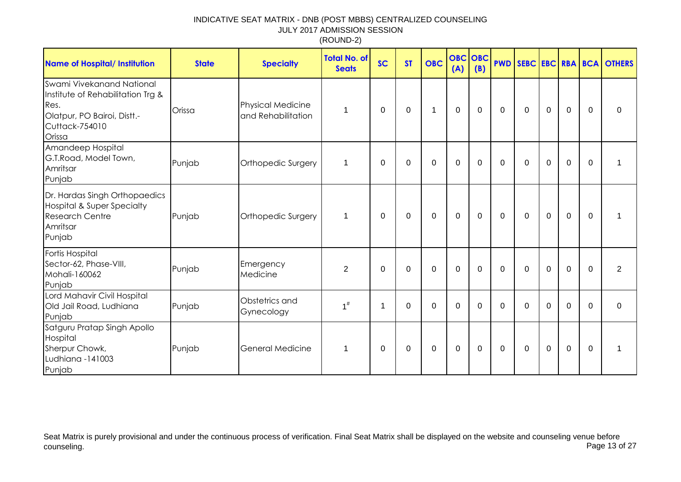| <b>Name of Hospital/ Institution</b>                                                                                              | <b>State</b> | <b>Specialty</b>                               | <b>Total No. of</b><br><b>Seats</b> | <b>SC</b> | <b>ST</b> | <b>OBC</b>     | <b>OBC OBC</b><br>(A) | (B)         |             |             |              |             |              | <b>PWD SEBC EBC RBA BCA OTHERS</b> |
|-----------------------------------------------------------------------------------------------------------------------------------|--------------|------------------------------------------------|-------------------------------------|-----------|-----------|----------------|-----------------------|-------------|-------------|-------------|--------------|-------------|--------------|------------------------------------|
| Swami Vivekanand National<br>Institute of Rehabilitation Trg &<br>Res.<br>Olatpur, PO Bairoi, Distt.-<br>Cuttack-754010<br>Orissa | Orissa       | <b>Physical Medicine</b><br>and Rehabilitation | 1                                   | $\Omega$  | $\Omega$  | 1              | $\mathbf 0$           | $\mathbf 0$ | $\mathbf 0$ | $\mathbf 0$ | $\mathbf 0$  | $\mathbf 0$ | $\mathbf{0}$ | 0                                  |
| Amandeep Hospital<br>G.T.Road, Model Town,<br>Amritsar<br>Punjab                                                                  | Punjab       | Orthopedic Surgery                             | 1                                   | $\Omega$  | $\Omega$  | $\overline{0}$ | $\mathbf 0$           | $\mathbf 0$ | $\mathbf 0$ | $\mathbf 0$ | $\mathbf 0$  | $\mathbf 0$ | $\Omega$     | 1                                  |
| Dr. Hardas Singh Orthopaedics<br><b>Hospital &amp; Super Specialty</b><br><b>Research Centre</b><br>Amritsar<br>Punjab            | Punjab       | Orthopedic Surgery                             | 1                                   | 0         | 0         | $\mathbf 0$    | $\mathbf 0$           | $\mathbf 0$ | $\mathbf 0$ | $\mathbf 0$ | $\mathbf 0$  | $\mathbf 0$ | $\mathbf{0}$ | 1                                  |
| <b>Fortis Hospital</b><br>Sector-62, Phase-VIII,<br>Mohali-160062<br>Punjab                                                       | Punjab       | Emergency<br>Medicine                          | 2                                   | $\Omega$  | $\Omega$  | $\Omega$       | $\mathbf 0$           | $\Omega$    | $\Omega$    | $\Omega$    | $\mathbf{0}$ | $\mathbf 0$ | $\Omega$     | 2                                  |
| Lord Mahavir Civil Hospital<br>Old Jail Road, Ludhiana<br>Punjab                                                                  | Punjab       | Obstetrics and<br>Gynecology                   | $1^{\#}$                            | -1        | $\Omega$  | $\mathbf 0$    | $\mathbf 0$           | $\Omega$    | $\Omega$    | $\Omega$    | $\Omega$     | $\mathbf 0$ | $\Omega$     | $\mathbf 0$                        |
| Satguru Pratap Singh Apollo<br>Hospital<br>Sherpur Chowk,<br>Ludhiana -141003<br>Punjab                                           | Punjab       | <b>General Medicine</b>                        | 1                                   | $\Omega$  | 0         | 0              | 0                     | 0           | 0           | 0           | 0            | 0           | $\Omega$     | $\mathbf 1$                        |

Seat Matrix is purely provisional and under the continuous process of verification. Final Seat Matrix shall be displayed on the website and counseling venue before<br>Page 13 of 27 counseling. Page 13 of 27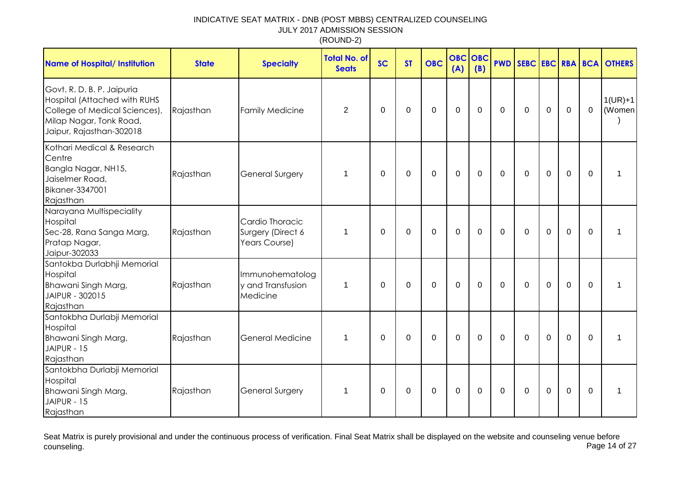| <b>Name of Hospital/ Institution</b>                                                                                                                      | <b>State</b> | <b>Specialty</b>                                      | <b>Total No. of</b><br><b>Seats</b> | <b>SC</b>   | <b>ST</b> | <b>OBC</b> | <b>OBC</b><br>(A) | OBC<br>(B)   | <b>PWD</b>   |             |             |                  |             | SEBC EBC RBA BCA OTHERS |
|-----------------------------------------------------------------------------------------------------------------------------------------------------------|--------------|-------------------------------------------------------|-------------------------------------|-------------|-----------|------------|-------------------|--------------|--------------|-------------|-------------|------------------|-------------|-------------------------|
| Govt. R. D. B. P. Jaipuria<br><b>Hospital (Attached with RUHS</b><br>College of Medical Sciences),<br>Milap Nagar, Tonk Road,<br>Jaipur, Rajasthan-302018 | Rajasthan    | <b>Family Medicine</b>                                | $\overline{2}$                      | $\mathbf 0$ | 0         | 0          | $\Omega$          | $\mathbf{0}$ | $\Omega$     | $\Omega$    | 0           | 0                | $\mathbf 0$ | $1(UR)+1$<br>(Women     |
| Kothari Medical & Research<br>Centre<br>Bangla Nagar, NH15,<br>Jaiselmer Road,<br>Bikaner-3347001<br>Rajasthan                                            | Rajasthan    | <b>General Surgery</b>                                | 1                                   | $\mathbf 0$ | 0         | 0          | 0                 | 0            | $\mathbf 0$  | $\mathbf 0$ | $\mathbf 0$ | $\boldsymbol{0}$ | $\mathbf 0$ | 1                       |
| Narayana Multispeciality<br>Hospital<br>Sec-28, Rana Sanga Marg,<br>Pratap Nagar,<br>Jaipur-302033                                                        | Rajasthan    | Cardio Thoracic<br>Surgery (Direct 6<br>Years Course) | 1                                   | 0           | 0         | 0          | $\mathbf 0$       | $\mathbf{0}$ | 0            | $\Omega$    | 0           | $\mathbf 0$      | $\mathbf 0$ | 1                       |
| Santokba Durlabhji Memorial<br>Hospital<br>Bhawani Singh Marg,<br>JAIPUR - 302015<br>Rajasthan                                                            | Rajasthan    | Immunohematolog<br>y and Transfusion<br>Medicine      | 1                                   | 0           | 0         | 0          | $\mathbf 0$       | $\mathbf{0}$ | $\Omega$     | 0           | $\mathbf 0$ | $\mathbf 0$      | 0           | 1                       |
| Santokbha Durlabji Memorial<br>Hospital<br>Bhawani Singh Marg,<br>JAIPUR - 15<br>Rajasthan                                                                | Rajasthan    | <b>General Medicine</b>                               | 1                                   | $\mathbf 0$ | $\Omega$  | 0          | $\mathbf 0$       | $\Omega$     | 0            | $\Omega$    | $\mathbf 0$ | $\mathbf 0$      | $\mathbf 0$ | 1                       |
| Santokbha Durlabji Memorial<br>Hospital<br>Bhawani Singh Marg,<br>JAIPUR - 15<br>Rajasthan                                                                | Rajasthan    | <b>General Surgery</b>                                | 1                                   | 0           | $\Omega$  | 0          | $\mathbf 0$       | $\mathbf{0}$ | $\mathbf{0}$ | $\Omega$    | $\Omega$    | $\mathbf 0$      | $\Omega$    | 1                       |

Seat Matrix is purely provisional and under the continuous process of verification. Final Seat Matrix shall be displayed on the website and counseling venue before<br>Page 14 of 27 counseling. Page 14 of 27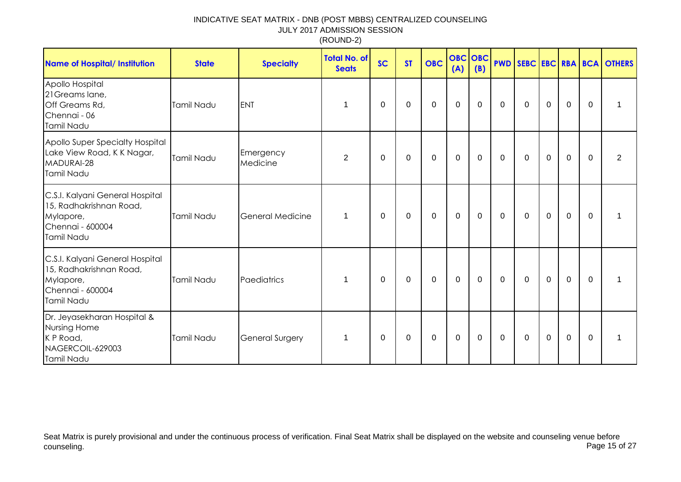| <b>Name of Hospital/ Institution</b>                                                                      | <b>State</b>      | <b>Specialty</b>        | <b>Total No. of</b><br><b>Seats</b> | <b>SC</b> | <b>ST</b>   | <b>OBC</b>  | <b>OBC</b> OBC<br>(A) | (B)         |             |              |             |              |             | <b>PWD SEBC EBC RBA BCA OTHERS</b> |
|-----------------------------------------------------------------------------------------------------------|-------------------|-------------------------|-------------------------------------|-----------|-------------|-------------|-----------------------|-------------|-------------|--------------|-------------|--------------|-------------|------------------------------------|
| Apollo Hospital<br>21 Greams lane,<br>Off Greams Rd,<br>Chennai - 06<br>Tamil Nadu                        | Tamil Nadu        | <b>ENT</b>              | 1                                   | 0         | $\mathbf 0$ | $\mathbf 0$ | $\mathbf 0$           | 0           | $\mathbf 0$ | 0            | $\mathbf 0$ | $\mathbf 0$  | $\mathbf 0$ |                                    |
| Apollo Super Specialty Hospital<br>Lake View Road, K K Nagar,<br>MADURAI-28<br><b>Tamil Nadu</b>          | <b>Tamil Nadu</b> | Emergency<br>Medicine   | $\overline{2}$                      | 0         | $\mathbf 0$ | $\mathbf 0$ | $\mathbf 0$           | $\mathbf 0$ | $\mathbf 0$ | $\mathbf 0$  | $\mathbf 0$ | $\mathbf 0$  | $\mathbf 0$ | 2                                  |
| C.S.I. Kalyani General Hospital<br>15, Radhakrishnan Road,<br>Mylapore,<br>Chennai - 600004<br>Tamil Nadu | Tamil Nadu        | <b>General Medicine</b> | $\mathbf 1$                         | 0         | 0           | $\mathbf 0$ | $\mathbf 0$           | 0           | $\mathbf 0$ | $\mathbf 0$  | $\mathbf 0$ | $\mathbf 0$  | 0           |                                    |
| C.S.I. Kalyani General Hospital<br>15, Radhakrishnan Road,<br>Mylapore,<br>Chennai - 600004<br>Tamil Nadu | Tamil Nadu        | Paediatrics             | 1                                   | $\Omega$  | 0           | $\mathbf 0$ | $\mathbf 0$           | 0           | $\mathbf 0$ | $\Omega$     | $\mathbf 0$ | $\mathbf{0}$ | $\Omega$    |                                    |
| Dr. Jeyasekharan Hospital &<br>Nursing Home<br>K P Road,<br>NAGERCOIL-629003<br>Tamil Nadu                | Tamil Nadu        | <b>General Surgery</b>  | 1                                   | $\Omega$  | 0           | 0           | 0                     | 0           | 0           | $\mathbf{0}$ | $\mathbf 0$ | $\mathbf 0$  | $\Omega$    |                                    |

Seat Matrix is purely provisional and under the continuous process of verification. Final Seat Matrix shall be displayed on the website and counseling venue before<br>Page 15 of 27 counseling. Page 15 of 27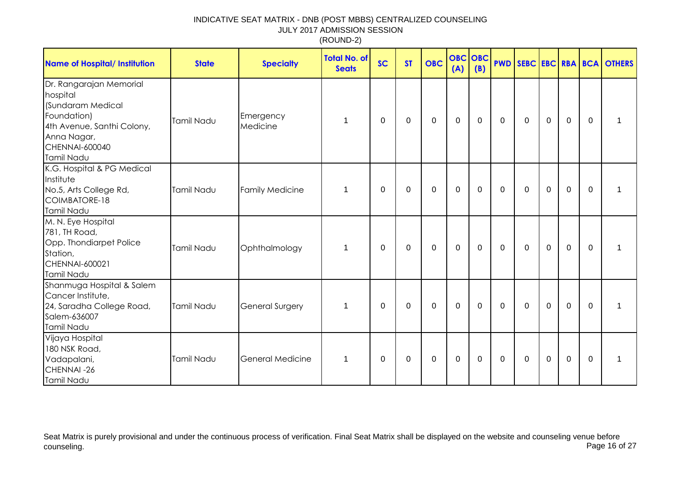| <b>Name of Hospital/ Institution</b>                                                                                                                        | <b>State</b> | <b>Specialty</b>       | <b>Total No. of</b><br><b>Seats</b> | <b>SC</b>   | <b>ST</b>   | <b>OBC</b>  | <b>OBC</b> OBC<br>(A) | (B)         |              |              |             |             |             | <b>PWD SEBC EBC RBA BCA OTHERS</b> |
|-------------------------------------------------------------------------------------------------------------------------------------------------------------|--------------|------------------------|-------------------------------------|-------------|-------------|-------------|-----------------------|-------------|--------------|--------------|-------------|-------------|-------------|------------------------------------|
| Dr. Rangarajan Memorial<br>hospital<br>(Sundaram Medical<br>Foundation)<br>4th Avenue, Santhi Colony,<br>Anna Nagar,<br><b>CHENNAI-600040</b><br>Tamil Nadu | Tamil Nadu   | Emergency<br>Medicine  | 1                                   | $\Omega$    | $\Omega$    | 0           | $\Omega$              | $\Omega$    | $\mathbf{0}$ | $\mathbf{0}$ | $\Omega$    | 0           | 0           | 1                                  |
| K.G. Hospital & PG Medical<br>Institute<br>No.5, Arts College Rd,<br>COIMBATORE-18<br>Tamil Nadu                                                            | Tamil Nadu   | <b>Family Medicine</b> | 1                                   | $\mathbf 0$ | $\mathbf 0$ | $\mathbf 0$ | $\mathbf 0$           | $\mathbf 0$ | 0            | $\mathbf 0$  | $\mathbf 0$ | $\mathbf 0$ | $\mathbf 0$ |                                    |
| M. N. Eye Hospital<br>781, TH Road,<br>Opp. Thondiarpet Police<br>Station,<br><b>CHENNAI-600021</b><br>Tamil Nadu                                           | Tamil Nadu   | Ophthalmology          | 1                                   | 0           | $\mathbf 0$ | $\mathbf 0$ | $\mathbf 0$           | $\mathbf 0$ | $\mathbf 0$  | $\mathbf 0$  | $\mathbf 0$ | $\mathbf 0$ | $\mathbf 0$ | 1                                  |
| Shanmuga Hospital & Salem<br>Cancer Institute,<br>24, Saradha College Road,<br>Salem-636007<br>Tamil Nadu                                                   | Tamil Nadu   | General Surgery        | 1                                   | 0           | $\mathbf 0$ | 0           | $\mathbf 0$           | $\Omega$    | $\mathbf 0$  | $\mathbf{0}$ | 0           | $\mathbf 0$ | $\mathbf 0$ | 1                                  |
| Vijaya Hospital<br>180 NSK Road,<br>Vadapalani,<br>CHENNAI-26<br>Tamil Nadu                                                                                 | Tamil Nadu   | General Medicine       | 1                                   | 0           | 0           | 0           | $\mathbf 0$           | $\Omega$    | 0            | $\mathbf{0}$ | 0           | $\mathbf 0$ | $\mathbf 0$ | 1                                  |

Seat Matrix is purely provisional and under the continuous process of verification. Final Seat Matrix shall be displayed on the website and counseling venue before<br>Page 16 of 27 counseling. Page 16 of 27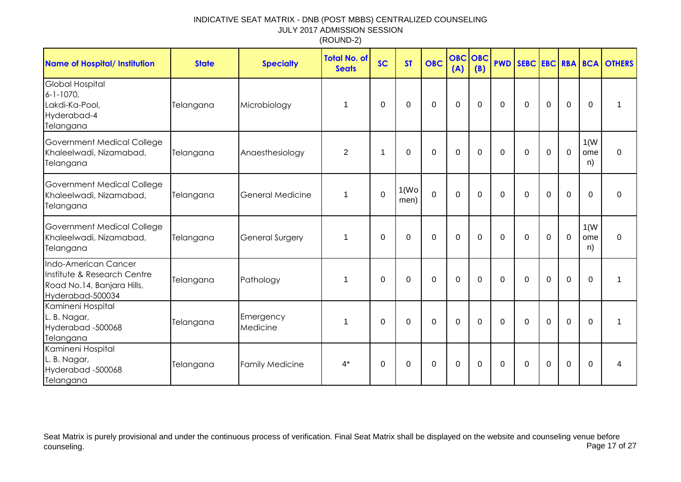| Name of Hospital/ Institution                                                                         | <b>State</b> | <b>Specialty</b>       | <b>Total No. of</b><br><b>Seats</b> | <b>SC</b>   | <b>ST</b>     | <b>OBC</b>     | <b>OBC</b><br>(A) | OBC<br>(B)  | <b>PWD</b>     |             |             |             |                   | SEBC EBC RBA BCA OTHERS |
|-------------------------------------------------------------------------------------------------------|--------------|------------------------|-------------------------------------|-------------|---------------|----------------|-------------------|-------------|----------------|-------------|-------------|-------------|-------------------|-------------------------|
| <b>Global Hospital</b><br>$6 - 1 - 1070$<br>Lakdi-Ka-Pool,<br>Hyderabad-4<br>Telangana                | Telangana    | Microbiology           | 1                                   | $\mathbf 0$ | 0             | $\mathbf 0$    | $\mathbf 0$       | $\mathbf 0$ | $\mathbf 0$    | $\mathbf 0$ | $\mathbf 0$ | 0           | $\mathbf 0$       | 1                       |
| Government Medical College<br>Khaleelwadi, Nizamabad,<br>Telangana                                    | Telangana    | Anaesthesiology        | $\overline{2}$                      | 1           | 0             | $\mathbf 0$    | $\mathbf 0$       | $\Omega$    | $\overline{0}$ | $\mathbf 0$ | $\mathbf 0$ | $\mathbf 0$ | 1(W)<br>ome<br>n) | $\mathbf 0$             |
| Government Medical College<br>Khaleelwadi, Nizamabad,<br>Telangana                                    | Telangana    | General Medicine       | 1                                   | $\mathbf 0$ | 1(Wo)<br>men) | $\overline{0}$ | $\mathbf 0$       | $\Omega$    | $\mathbf{0}$   | $\Omega$    | $\Omega$    | 0           | $\Omega$          | $\mathbf 0$             |
| Government Medical College<br>Khaleelwadi, Nizamabad,<br>Telangana                                    | Telangana    | <b>General Surgery</b> | 1                                   | $\Omega$    | $\Omega$      | $\mathbf 0$    | $\mathbf 0$       | $\Omega$    | $\Omega$       | $\Omega$    | $\Omega$    | $\mathbf 0$ | 1(W)<br>ome<br>n) | $\mathbf 0$             |
| Indo-American Cancer<br>Institute & Research Centre<br>Road No.14, Banjara Hills,<br>Hyderabad-500034 | Telangana    | Pathology              | 1                                   | $\Omega$    | $\Omega$      | $\mathbf 0$    | $\mathbf 0$       | $\Omega$    | $\Omega$       | $\Omega$    | $\mathbf 0$ | 0           | $\Omega$          |                         |
| Kamineni Hospital<br>L. B. Nagar,<br>Hyderabad -500068<br>Telangana                                   | Telangana    | Emergency<br>Medicine  | 1                                   | $\Omega$    | $\Omega$      | $\Omega$       | $\Omega$          | $\Omega$    | $\Omega$       | $\Omega$    | $\Omega$    | $\Omega$    | $\Omega$          | 1                       |
| Kamineni Hospital<br>L. B. Nagar,<br>Hyderabad -500068<br>Telangana                                   | Telangana    | <b>Family Medicine</b> | $4^*$                               | $\Omega$    | $\mathbf 0$   | $\mathbf 0$    | $\mathbf 0$       | $\mathbf 0$ | $\mathbf 0$    | $\mathbf 0$ | $\mathbf 0$ | 0           | $\Omega$          | 4                       |

Seat Matrix is purely provisional and under the continuous process of verification. Final Seat Matrix shall be displayed on the website and counseling venue before<br>Page 17 of 27 counseling. Page 17 of 27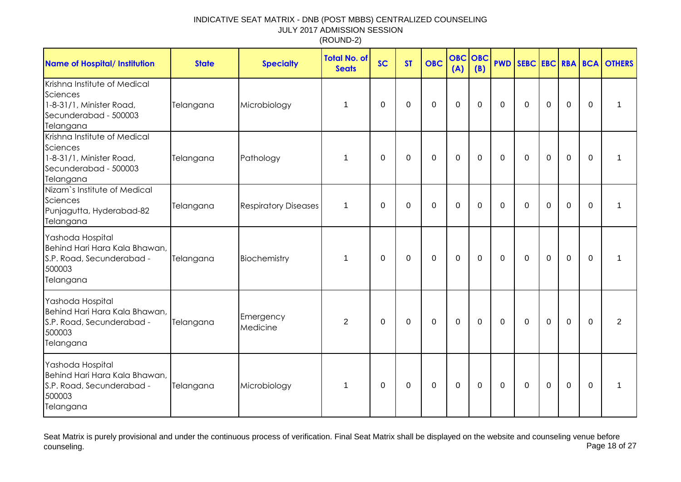| <b>Name of Hospital/ Institution</b>                                                                       | <b>State</b> | <b>Specialty</b>            | <b>Total No. of</b><br><b>Seats</b> | <b>SC</b> | <b>ST</b> | <b>OBC</b>  | <b>OBC</b><br>(A) | <b>OBC</b><br>(B) |              |             |             |                |             | <b>PWD SEBC EBC RBA BCA OTHERS</b> |
|------------------------------------------------------------------------------------------------------------|--------------|-----------------------------|-------------------------------------|-----------|-----------|-------------|-------------------|-------------------|--------------|-------------|-------------|----------------|-------------|------------------------------------|
| Krishna Institute of Medical<br>Sciences<br>1-8-31/1, Minister Road,<br>Secunderabad - 500003<br>Telangana | Telangana    | Microbiology                | 1                                   | 0         | 0         | $\mathbf 0$ | $\mathbf 0$       | $\mathbf 0$       | $\mathbf 0$  | $\Omega$    | $\mathbf 0$ | $\mathbf 0$    | $\Omega$    |                                    |
| Krishna Institute of Medical<br>Sciences<br>1-8-31/1, Minister Road,<br>Secunderabad - 500003<br>Telangana | Telangana    | Pathology                   | 1                                   | $\Omega$  | $\Omega$  | $\mathbf 0$ | $\mathbf 0$       | $\mathbf 0$       | $\Omega$     | $\Omega$    | $\mathbf 0$ | $\overline{0}$ | $\Omega$    |                                    |
| Nizam's Institute of Medical<br>Sciences<br>Punjagutta, Hyderabad-82<br>Telangana                          | Telangana    | <b>Respiratory Diseases</b> | 1                                   | 0         | 0         | $\mathbf 0$ | $\mathbf 0$       | $\mathbf 0$       | $\mathbf{0}$ | $\Omega$    | $\Omega$    | $\mathbf 0$    | $\Omega$    | 1                                  |
| Yashoda Hospital<br>Behind Hari Hara Kala Bhawan,<br>S.P. Road, Secunderabad -<br>500003<br>Telangana      | Telangana    | Biochemistry                | 1                                   | 0         | 0         | $\mathbf 0$ | $\mathbf 0$       | $\Omega$          | $\mathbf{0}$ | $\Omega$    | $\mathbf 0$ | $\mathbf 0$    | $\Omega$    |                                    |
| Yashoda Hospital<br>Behind Hari Hara Kala Bhawan,<br>S.P. Road, Secunderabad -<br>500003<br>Telangana      | Telangana    | Emergency<br>Medicine       | 2                                   | 0         | 0         | 0           | 0                 | 0                 | 0            | 0           | $\mathbf 0$ | 0              | $\Omega$    | $\overline{2}$                     |
| Yashoda Hospital<br>Behind Hari Hara Kala Bhawan,<br>S.P. Road, Secunderabad -<br>500003<br>Telangana      | Telangana    | Microbiology                | 1                                   | 0         | 0         | $\mathbf 0$ | $\mathbf 0$       | $\mathbf 0$       | $\mathbf 0$  | $\mathbf 0$ | $\mathbf 0$ | $\mathbf 0$    | $\mathbf 0$ |                                    |

Seat Matrix is purely provisional and under the continuous process of verification. Final Seat Matrix shall be displayed on the website and counseling venue before<br>Page 18 of 27 counseling. Page 18 of 27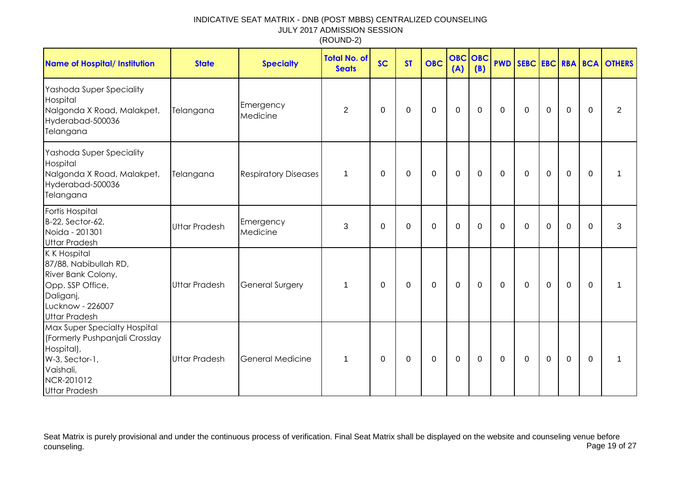| <b>Name of Hospital/ Institution</b>                                                                                                              | <b>State</b>         | <b>Specialty</b>            | <b>Total No. of</b><br><b>Seats</b> | <b>SC</b>   | <b>ST</b>   | <b>OBC</b>  | <b>OBC</b><br>(A) | <b>OBC</b><br>(B) |             |             |                  |             |              | <b>PWD SEBC EBC RBA BCA OTHERS</b> |
|---------------------------------------------------------------------------------------------------------------------------------------------------|----------------------|-----------------------------|-------------------------------------|-------------|-------------|-------------|-------------------|-------------------|-------------|-------------|------------------|-------------|--------------|------------------------------------|
| Yashoda Super Speciality<br>Hospital<br>Nalgonda X Road, Malakpet,<br>Hyderabad-500036<br>Telangana                                               | Telangana            | Emergency<br>Medicine       | $\overline{2}$                      | 0           | $\mathbf 0$ | $\pmb{0}$   | $\pmb{0}$         | $\mathbf 0$       | $\mathbf 0$ | $\mathbf 0$ | $\boldsymbol{0}$ | $\mathbf 0$ | 0            | $\overline{2}$                     |
| Yashoda Super Speciality<br>Hospital<br>Nalgonda X Road, Malakpet,<br>Hyderabad-500036<br>Telangana                                               | Telangana            | <b>Respiratory Diseases</b> | 1                                   | 0           | 0           | 0           | $\mathbf 0$       | 0                 | $\mathbf 0$ | 0           | $\mathbf 0$      | $\mathbf 0$ | $\mathbf{0}$ | 1                                  |
| Fortis Hospital<br>B-22, Sector-62,<br>Noida - 201301<br><b>Uttar Pradesh</b>                                                                     | <b>Uttar Pradesh</b> | Emergency<br>Medicine       | 3                                   | $\mathbf 0$ | $\mathbf 0$ | $\mathbf 0$ | $\mathbf 0$       | $\mathbf 0$       | $\mathbf 0$ | $\mathbf 0$ | $\mathbf 0$      | $\mathbf 0$ | $\Omega$     | 3                                  |
| <b>K K Hospital</b><br>87/88, Nabibullah RD,<br>River Bank Colony,<br>Opp. SSP Office,<br>Daliganj,<br>Lucknow - 226007<br><b>Uttar Pradesh</b>   | <b>Uttar Pradesh</b> | General Surgery             | $\mathbf 1$                         | 0           | 0           | $\mathbf 0$ | $\mathbf 0$       | $\mathbf 0$       | $\mathbf 0$ | $\mathbf 0$ | $\mathbf 0$      | $\mathbf 0$ | $\mathbf{0}$ | 1                                  |
| Max Super Specialty Hospital<br>(Formerly Pushpanjali Crosslay<br>Hospital),<br>W-3, Sector-1,<br>Vaishali,<br>NCR-201012<br><b>Uttar Pradesh</b> | <b>Uttar Pradesh</b> | <b>General Medicine</b>     | $\mathbf 1$                         | 0           | 0           | $\mathbf 0$ | $\mathbf 0$       | 0                 | $\mathbf 0$ | $\Omega$    | $\mathbf 0$      | $\mathbf 0$ | $\mathbf{0}$ | $\mathbf 1$                        |

Seat Matrix is purely provisional and under the continuous process of verification. Final Seat Matrix shall be displayed on the website and counseling venue before<br>Page 19 of 27 counseling. Page 19 of 27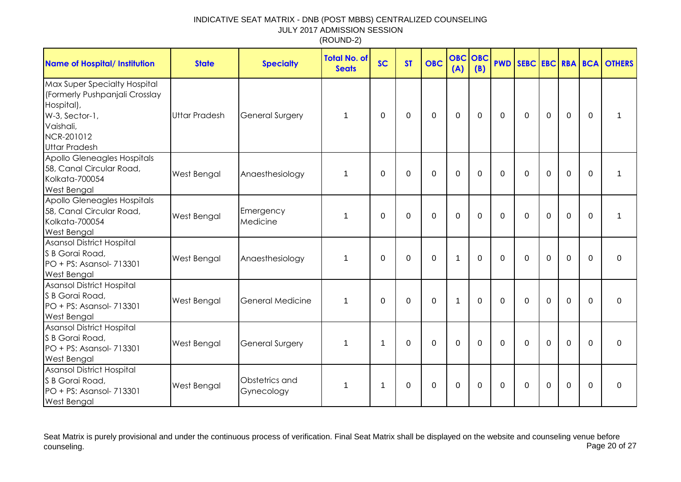| <b>Name of Hospital/ Institution</b>                                                                                                              | <b>State</b>         | <b>Specialty</b>             | <b>Total No. of</b><br><b>Seats</b> | <b>SC</b>   | <b>ST</b>      | <b>OBC</b>     | <b>OBC OBC</b><br>(A) | (B)         |             |             |             |                |          | <b>PWD SEBC EBC RBA BCA OTHERS</b> |
|---------------------------------------------------------------------------------------------------------------------------------------------------|----------------------|------------------------------|-------------------------------------|-------------|----------------|----------------|-----------------------|-------------|-------------|-------------|-------------|----------------|----------|------------------------------------|
| Max Super Specialty Hospital<br>(Formerly Pushpanjali Crosslay<br>Hospital),<br>W-3, Sector-1,<br>Vaishali,<br>NCR-201012<br><b>Uttar Pradesh</b> | <b>Uttar Pradesh</b> | <b>General Surgery</b>       | 1                                   | 0           | 0              | $\mathbf 0$    | $\mathbf 0$           | $\mathbf 0$ | $\mathbf 0$ | $\mathbf 0$ | $\mathbf 0$ | $\mathbf 0$    | $\Omega$ |                                    |
| Apollo Gleneagles Hospitals<br>58, Canal Circular Road,<br>Kolkata-700054<br><b>West Bengal</b>                                                   | West Bengal          | Anaesthesiology              | 1                                   | $\Omega$    | $\overline{0}$ | $\overline{0}$ | $\mathbf 0$           | $\mathbf 0$ | $\Omega$    | $\mathbf 0$ | $\mathbf 0$ | $\overline{0}$ | $\Omega$ |                                    |
| Apollo Gleneagles Hospitals<br>58, Canal Circular Road,<br>Kolkata-700054<br><b>West Bengal</b>                                                   | West Bengal          | Emergency<br>Medicine        | 1                                   | $\Omega$    | $\Omega$       | $\Omega$       | $\mathbf 0$           | $\Omega$    | $\Omega$    | $\Omega$    | $\Omega$    | $\Omega$       | $\Omega$ |                                    |
| <b>Asansol District Hospital</b><br>S B Gorai Road,<br>PO + PS: Asansol- 713301<br><b>West Bengal</b>                                             | West Bengal          | Anaesthesiology              | 1                                   | 0           | 0              | $\mathbf 0$    | $\mathbf{1}$          | $\mathbf 0$ | $\Omega$    | $\Omega$    | $\Omega$    | $\mathbf 0$    | $\Omega$ | $\mathbf 0$                        |
| Asansol District Hospital<br>S B Gorai Road,<br>PO + PS: Asansol- 713301<br><b>West Bengal</b>                                                    | West Bengal          | General Medicine             | 1                                   | $\Omega$    | $\Omega$       | $\mathbf 0$    | $\mathbf 1$           | $\Omega$    | $\Omega$    | $\Omega$    | $\mathbf 0$ | $\overline{0}$ | $\Omega$ | 0                                  |
| <b>Asansol District Hospital</b><br>S B Gorai Road,<br>PO + PS: Asansol- 713301<br><b>West Bengal</b>                                             | West Bengal          | <b>General Surgery</b>       | 1                                   | $\mathbf 1$ | $\Omega$       | $\mathbf 0$    | $\mathbf 0$           | $\mathbf 0$ | $\Omega$    | $\mathbf 0$ | $\mathbf 0$ | $\overline{0}$ | $\Omega$ | $\mathbf 0$                        |
| Asansol District Hospital<br>S B Gorai Road,<br>PO + PS: Asansol- 713301<br><b>West Bengal</b>                                                    | West Bengal          | Obstetrics and<br>Gynecology | 1                                   | $\mathbf 1$ | $\Omega$       | $\mathbf 0$    | $\mathbf 0$           | $\Omega$    | $\Omega$    | $\Omega$    | $\Omega$    | $\Omega$       | $\Omega$ | $\Omega$                           |

Seat Matrix is purely provisional and under the continuous process of verification. Final Seat Matrix shall be displayed on the website and counseling venue before<br>Page 20 of 27 counseling. Page 20 of 27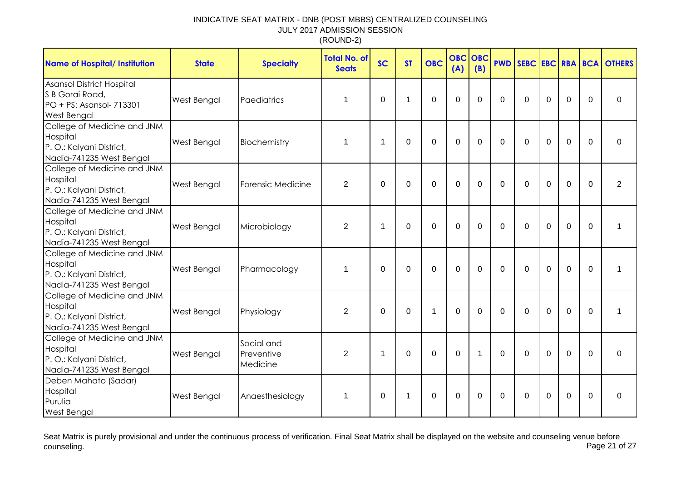| <b>Name of Hospital/ Institution</b>                                                            | <b>State</b>       | <b>Specialty</b>                     | <b>Total No. of</b><br><b>Seats</b> | <b>SC</b>    | <b>ST</b> | <b>OBC</b>     | <b>OBC OBC</b><br>(A) | (B)         | <b>PWD</b>     |             |                |                |             | <b>SEBC EBC RBA BCA OTHERS</b> |
|-------------------------------------------------------------------------------------------------|--------------------|--------------------------------------|-------------------------------------|--------------|-----------|----------------|-----------------------|-------------|----------------|-------------|----------------|----------------|-------------|--------------------------------|
| Asansol District Hospital<br>S B Gorai Road,<br>PO + PS: Asansol- 713301<br>West Bengal         | <b>West Bengal</b> | Paediatrics                          | 1                                   | $\Omega$     | 1         | 0              | 0                     | $\Omega$    | $\Omega$       | $\Omega$    | $\Omega$       | $\Omega$       | $\Omega$    | $\Omega$                       |
| College of Medicine and JNM<br>Hospital<br>P. O.: Kalyani District,<br>Nadia-741235 West Bengal | West Bengal        | Biochemistry                         | 1                                   | $\mathbf{1}$ | $\Omega$  | 0              | 0                     | $\Omega$    | $\Omega$       | $\Omega$    | $\Omega$       | $\Omega$       | $\Omega$    | $\Omega$                       |
| College of Medicine and JNM<br>Hospital<br>P. O.: Kalyani District,<br>Nadia-741235 West Bengal | West Bengal        | Forensic Medicine                    | $\overline{2}$                      | 0            | $\Omega$  | 0              | 0                     | $\Omega$    | $\Omega$       | $\Omega$    | $\Omega$       | $\Omega$       | $\Omega$    | $\overline{2}$                 |
| College of Medicine and JNM<br>Hospital<br>P. O.: Kalyani District,<br>Nadia-741235 West Bengal | West Bengal        | Microbiology                         | $\overline{2}$                      | 1            | $\Omega$  | $\overline{0}$ | $\overline{0}$        | $\mathbf 0$ | $\overline{0}$ | $\mathbf 0$ | $\overline{0}$ | $\overline{0}$ | $\mathbf 0$ | 1                              |
| College of Medicine and JNM<br>Hospital<br>P. O.: Kalyani District,<br>Nadia-741235 West Bengal | West Bengal        | Pharmacology                         | 1                                   | $\mathbf 0$  | $\Omega$  | 0              | $\overline{0}$        | $\mathbf 0$ | $\mathbf 0$    | $\mathbf 0$ | $\mathbf 0$    | $\mathbf 0$    | $\mathbf 0$ | 1                              |
| College of Medicine and JNM<br>Hospital<br>P.O.: Kalyani District,<br>Nadia-741235 West Bengal  | West Bengal        | Physiology                           | $\overline{2}$                      | $\mathbf 0$  | $\Omega$  | 1              | $\overline{0}$        | $\Omega$    | 0              | $\Omega$    | $\mathbf 0$    | 0              | $\mathbf 0$ | 1                              |
| College of Medicine and JNM<br>Hospital<br>P. O.: Kalyani District,<br>Nadia-741235 West Bengal | West Bengal        | Social and<br>Preventive<br>Medicine | $\overline{2}$                      | $\mathbf 1$  | $\Omega$  | 0              | $\mathbf 0$           | $\mathbf 1$ | $\Omega$       | $\Omega$    | $\Omega$       | $\mathbf 0$    | $\Omega$    | $\mathbf 0$                    |
| Deben Mahato (Sadar)<br>Hospital<br>Purulia<br><b>West Bengal</b>                               | West Bengal        | Anaesthesiology                      | $\mathbf 1$                         | 0            | 1         | 0              | 0                     | $\Omega$    | $\Omega$       | $\Omega$    | $\mathbf 0$    | $\mathbf 0$    | 0           | $\Omega$                       |

Seat Matrix is purely provisional and under the continuous process of verification. Final Seat Matrix shall be displayed on the website and counseling venue before<br>Page 21 of 27 counseling. Page 21 of 27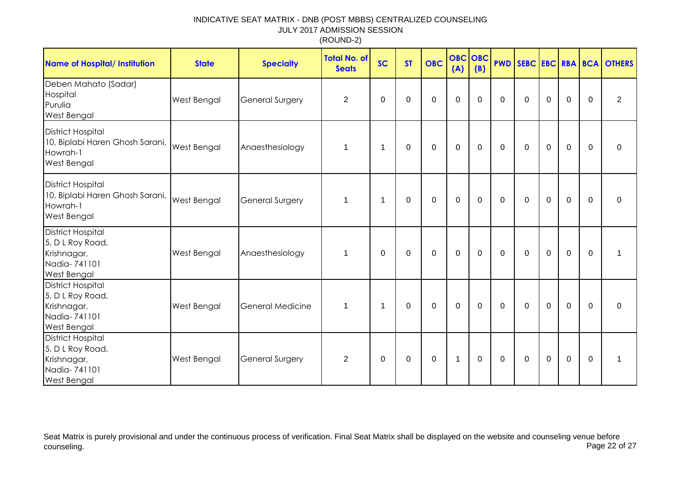| <b>Name of Hospital/ Institution</b>                                                              | <b>State</b> | <b>Specialty</b>        | <b>Total No. of</b><br><b>Seats</b> | <b>SC</b>      | <b>ST</b>        | <b>OBC</b>       | (A)            | OBC OBC<br>(B) | <b>PWD</b>   | SEBC EBC RBA BCA |             |             |             | <b>OTHERS</b>  |
|---------------------------------------------------------------------------------------------------|--------------|-------------------------|-------------------------------------|----------------|------------------|------------------|----------------|----------------|--------------|------------------|-------------|-------------|-------------|----------------|
| Deben Mahato (Sadar)<br>Hospital<br>Purulia<br>West Bengal                                        | West Bengal  | <b>General Surgery</b>  | $\overline{2}$                      | 0              | $\Omega$         | $\mathbf 0$      | $\overline{0}$ | $\Omega$       | $\mathbf{0}$ | $\mathbf 0$      | $\mathbf 0$ | $\mathbf 0$ | 0           | $\overline{2}$ |
| <b>District Hospital</b><br>10, Biplabi Haren Ghosh Sarani,<br>Howrah-1<br><b>West Bengal</b>     | West Bengal  | Anaesthesiology         | $\mathbf 1$                         | $\mathbf 1$    | $\Omega$         | $\mathbf 0$      | $\overline{0}$ | $\mathbf 0$    | $\mathbf 0$  | $\mathbf 0$      | $\mathbf 0$ | $\mathbf 0$ | $\Omega$    | 0              |
| <b>District Hospital</b><br>10, Biplabi Haren Ghosh Sarani,<br>Howrah-1<br>West Bengal            | West Bengal  | <b>General Surgery</b>  | $\mathbf 1$                         | $\mathbf 1$    | $\mathbf 0$      | $\mathbf 0$      | $\mathbf 0$    | $\mathbf 0$    | $\mathbf 0$  | $\mathbf 0$      | $\mathbf 0$ | $\mathbf 0$ | $\mathbf 0$ | $\mathbf 0$    |
| <b>District Hospital</b><br>5, D L Roy Road,<br>Krishnagar,<br>Nadia-741101<br>West Bengal        | West Bengal  | Anaesthesiology         | $\mathbf{1}$                        | $\mathbf 0$    | $\boldsymbol{0}$ | $\boldsymbol{0}$ | $\mathbf 0$    | $\mathbf 0$    | $\mathbf 0$  | $\boldsymbol{0}$ | $\mathsf 0$ | $\pmb{0}$   | $\mathbf 0$ | 1              |
| <b>District Hospital</b><br>5, D L Roy Road,<br>Krishnagar,<br>Nadia-741101<br><b>West Bengal</b> | West Bengal  | <b>General Medicine</b> | $\mathbf{1}$                        | $\overline{1}$ | $\Omega$         | $\Omega$         | $\overline{0}$ | $\Omega$       | $\mathbf{0}$ | $\mathbf 0$      | $\Omega$    | $\mathbf 0$ | $\Omega$    | $\Omega$       |
| <b>District Hospital</b><br>5, D L Roy Road,<br>Krishnagar,<br>Nadia-741101<br><b>West Bengal</b> | West Bengal  | <b>General Surgery</b>  | $\overline{2}$                      | 0              | 0                | $\mathbf 0$      | $\overline{1}$ | $\Omega$       | $\mathbf 0$  | $\mathbf 0$      | $\mathbf 0$ | $\mathbf 0$ | $\mathbf 0$ | 1              |

Seat Matrix is purely provisional and under the continuous process of verification. Final Seat Matrix shall be displayed on the website and counseling venue before<br>Page 22 of 27 counseling. Page 22 of 27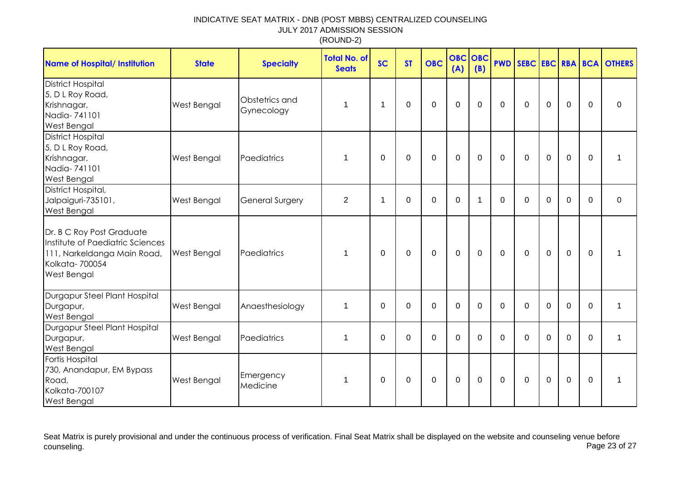| <b>Name of Hospital/ Institution</b>                                                                                                 | <b>State</b>       | <b>Specialty</b>             | <b>Total No. of</b><br><b>Seats</b> | <b>SC</b>   | <b>ST</b>   | <b>OBC</b>  | <b>OBC OBC</b><br>(A) | (B)         |             |             |             |                |             | <b>PWD SEBC EBC RBA BCA OTHERS</b> |
|--------------------------------------------------------------------------------------------------------------------------------------|--------------------|------------------------------|-------------------------------------|-------------|-------------|-------------|-----------------------|-------------|-------------|-------------|-------------|----------------|-------------|------------------------------------|
| <b>District Hospital</b><br>5, D L Roy Road,<br>Krishnagar,<br>Nadia-741101<br><b>West Bengal</b>                                    | West Bengal        | Obstetrics and<br>Gynecology | 1                                   | $\mathbf 1$ | 0           | $\mathbf 0$ | $\mathbf 0$           | $\mathbf 0$ | $\mathbf 0$ | $\mathbf 0$ | $\mathbf 0$ | $\mathbf 0$    | $\mathbf 0$ | $\mathbf 0$                        |
| <b>District Hospital</b><br>5, D L Roy Road,<br>Krishnagar,<br>Nadia-741101<br><b>West Bengal</b>                                    | West Bengal        | Paediatrics                  | 1                                   | $\Omega$    | $\Omega$    | $\mathbf 0$ | $\mathbf 0$           | $\Omega$    | $\mathbf 0$ | $\Omega$    | $\mathbf 0$ | $\overline{0}$ | $\Omega$    | $\mathbf 1$                        |
| District Hospital,<br>Jalpaiguri-735101,<br>West Bengal                                                                              | West Bengal        | <b>General Surgery</b>       | $\overline{2}$                      | $\mathbf 1$ | 0           | 0           | $\boldsymbol{0}$      | -1          | $\Omega$    | 0           | 0           | $\mathbf 0$    | $\Omega$    | $\mathbf 0$                        |
| Dr. B C Roy Post Graduate<br>Institute of Paediatric Sciences<br>111, Narkeldanga Main Road,<br>Kolkata-700054<br><b>West Bengal</b> | <b>West Bengal</b> | Paediatrics                  | 1                                   | $\mathbf 0$ | $\mathbf 0$ | $\mathbf 0$ | $\mathbf{0}$          | $\mathbf 0$ | $\mathbf 0$ | $\Omega$    | $\mathbf 0$ | $\overline{0}$ | $\Omega$    | 1                                  |
| Durgapur Steel Plant Hospital<br>Durgapur,<br><b>West Bengal</b>                                                                     | <b>West Bengal</b> | Anaesthesiology              | 1                                   | $\mathbf 0$ | 0           | $\mathbf 0$ | $\mathbf 0$           | $\mathbf 0$ | $\Omega$    | $\mathbf 0$ | $\mathbf 0$ | $\mathbf 0$    | $\mathbf 0$ | $\mathbf 1$                        |
| Durgapur Steel Plant Hospital<br>Durgapur,<br><b>West Bengal</b>                                                                     | <b>West Bengal</b> | Paediatrics                  | 1                                   | $\Omega$    | 0           | $\Omega$    | $\mathbf 0$           | $\Omega$    | $\Omega$    | $\Omega$    | $\Omega$    | $\Omega$       | $\Omega$    | 1                                  |
| Fortis Hospital<br>730, Anandapur, EM Bypass<br>Road,<br>Kolkata-700107<br><b>West Bengal</b>                                        | <b>West Bengal</b> | Emergency<br>Medicine        | 1                                   | $\mathbf 0$ | 0           | $\pmb{0}$   | $\boldsymbol{0}$      | $\mathbf 0$ | $\mathbf 0$ | $\mathbf 0$ | $\pmb{0}$   | $\mathbf 0$    | 0           | 1                                  |

Seat Matrix is purely provisional and under the continuous process of verification. Final Seat Matrix shall be displayed on the website and counseling venue before<br>Page 23 of 27 counseling. Page 23 of 27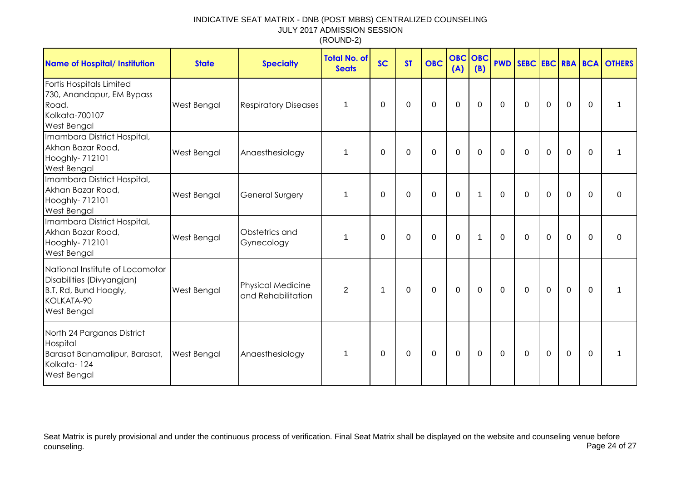| <b>Name of Hospital/ Institution</b>                                                                                      | <b>State</b>       | <b>Specialty</b>                               | <b>Total No. of</b><br><b>Seats</b> | <b>SC</b>    | <b>ST</b> | <b>OBC</b>  | <b>OBC</b> OBC<br>(A) | (B)      | <b>PWD</b>   |              |                |                |             | SEBC EBC RBA BCA OTHERS |
|---------------------------------------------------------------------------------------------------------------------------|--------------------|------------------------------------------------|-------------------------------------|--------------|-----------|-------------|-----------------------|----------|--------------|--------------|----------------|----------------|-------------|-------------------------|
| Fortis Hospitals Limited<br>730, Anandapur, EM Bypass<br>Road,<br>Kolkata-700107<br><b>West Bengal</b>                    | West Bengal        | <b>Respiratory Diseases</b>                    | $\mathbf{1}$                        | $\mathbf{0}$ | 0         | $\mathbf 0$ | $\mathbf 0$           | $\Omega$ | $\mathbf{0}$ | $\mathbf{0}$ | $\overline{0}$ | $\mathbf 0$    | $\Omega$    |                         |
| Imambara District Hospital,<br>Akhan Bazar Road,<br>Hooghly- 712101<br><b>West Bengal</b>                                 | West Bengal        | Anaesthesiology                                | $\mathbf{1}$                        | $\Omega$     | $\Omega$  | $\mathbf 0$ | $\mathbf 0$           | $\Omega$ | $\Omega$     | $\Omega$     | 0              | $\overline{0}$ | $\Omega$    |                         |
| Imambara District Hospital,<br>Akhan Bazar Road,<br>Hooghly- 712101<br><b>West Bengal</b>                                 | West Bengal        | <b>General Surgery</b>                         | $\mathbf 1$                         | $\Omega$     | $\Omega$  | $\Omega$    | $\Omega$              | 1        | $\Omega$     | $\Omega$     | $\Omega$       | $\mathbf 0$    | $\Omega$    | $\Omega$                |
| Imambara District Hospital,<br>Akhan Bazar Road,<br>Hooghly- 712101<br><b>West Bengal</b>                                 | West Bengal        | Obstetrics and<br>Gynecology                   | $\mathbf 1$                         | $\mathbf{0}$ | $\Omega$  | $\mathbf 0$ | $\mathbf 0$           | 1        | $\mathbf{0}$ | $\mathbf 0$  | $\overline{0}$ | $\mathbf 0$    | $\mathbf 0$ | $\mathbf 0$             |
| National Institute of Locomotor<br>Disabilities (Divyangjan)<br>B.T. Rd, Bund Hoogly,<br>KOLKATA-90<br><b>West Bengal</b> | <b>West Bengal</b> | <b>Physical Medicine</b><br>and Rehabilitation | $\overline{2}$                      | -1           | 0         | $\mathbf 0$ | $\Omega$              | 0        | $\mathbf{0}$ | $\Omega$     | $\mathbf 0$    | $\mathbf 0$    | $\Omega$    |                         |
| North 24 Parganas District<br>Hospital<br>Barasat Banamalipur, Barasat,<br>Kolkata-124<br><b>West Bengal</b>              | <b>West Bengal</b> | Anaesthesiology                                | $\mathbf{1}$                        | $\mathbf{0}$ | 0         | 0           | $\Omega$              | 0        | $\mathbf{0}$ | $\Omega$     | $\mathbf 0$    | $\Omega$       | $\Omega$    |                         |

Seat Matrix is purely provisional and under the continuous process of verification. Final Seat Matrix shall be displayed on the website and counseling venue before<br>Page 24 of 27 counseling. Page 24 of 27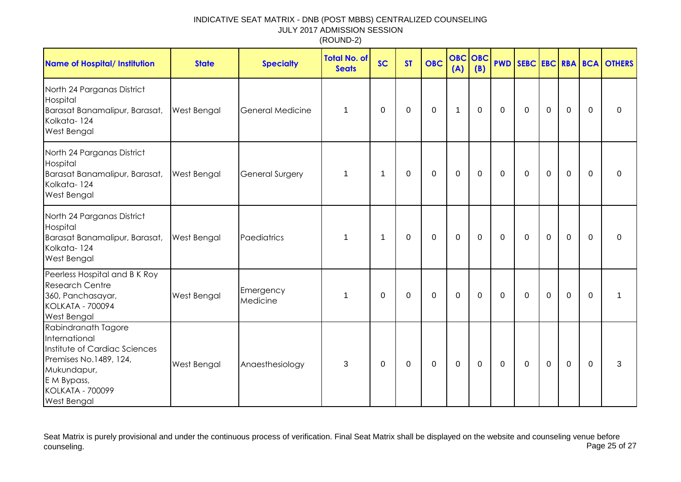| <b>Name of Hospital/ Institution</b>                                                                                                                                           | <b>State</b>       | <b>Specialty</b>        | <b>Total No. of</b><br><b>Seats</b> | <b>SC</b>   | <b>ST</b>   | <b>OBC</b>  | <b>OBC OBC</b><br>(A) | (B)         |             |             |                |             |             | <b>PWD SEBC EBC RBA BCA OTHERS</b> |
|--------------------------------------------------------------------------------------------------------------------------------------------------------------------------------|--------------------|-------------------------|-------------------------------------|-------------|-------------|-------------|-----------------------|-------------|-------------|-------------|----------------|-------------|-------------|------------------------------------|
| North 24 Parganas District<br>Hospital<br>Barasat Banamalipur, Barasat,<br>Kolkata-124<br><b>West Bengal</b>                                                                   | <b>West Bengal</b> | <b>General Medicine</b> | 1                                   | $\Omega$    | $\mathbf 0$ | $\mathbf 0$ | $\mathbf{1}$          | $\mathbf 0$ | $\mathbf 0$ | $\mathbf 0$ | $\overline{0}$ | $\mathbf 0$ | $\Omega$    | $\Omega$                           |
| North 24 Parganas District<br>Hospital<br>Barasat Banamalipur, Barasat,<br>Kolkata-124<br><b>West Bengal</b>                                                                   | <b>West Bengal</b> | <b>General Surgery</b>  | 1                                   | $\mathbf 1$ | $\Omega$    | $\mathbf 0$ | $\mathbf 0$           | $\mathbf 0$ | $\Omega$    | $\mathbf 0$ | $\mathbf 0$    | $\mathbf 0$ | $\Omega$    | $\Omega$                           |
| North 24 Parganas District<br>Hospital<br>Barasat Banamalipur, Barasat,<br>Kolkata-124<br><b>West Bengal</b>                                                                   | <b>West Bengal</b> | Paediatrics             | 1                                   | $\mathbf 1$ | 0           | 0           | $\mathbf 0$           | $\mathbf 0$ | $\mathbf 0$ | 0           | $\mathbf 0$    | $\mathbf 0$ | $\Omega$    | $\Omega$                           |
| Peerless Hospital and B K Roy<br><b>Research Centre</b><br>360, Panchasayar,<br><b>KOLKATA - 700094</b><br><b>West Bengal</b>                                                  | West Bengal        | Emergency<br>Medicine   | 1                                   | $\mathbf 0$ | 0           | $\mathbf 0$ | $\mathbf 0$           | $\mathbf 0$ | $\mathbf 0$ | $\mathbf 0$ | $\mathbf 0$    | $\mathbf 0$ | $\mathbf 0$ |                                    |
| Rabindranath Tagore<br>International<br>Institute of Cardiac Sciences<br>Premises No.1489, 124,<br>Mukundapur,<br>E M Bypass,<br><b>KOLKATA - 700099</b><br><b>West Bengal</b> | West Bengal        | Anaesthesiology         | 3                                   | 0           | 0           | 0           | $\mathbf 0$           | $\mathbf 0$ | $\mathbf 0$ | $\mathbf 0$ | $\mathbf 0$    | $\mathbf 0$ | $\mathbf 0$ | 3                                  |

Seat Matrix is purely provisional and under the continuous process of verification. Final Seat Matrix shall be displayed on the website and counseling venue before<br>Page 25 of 27 counseling. Page 25 of 27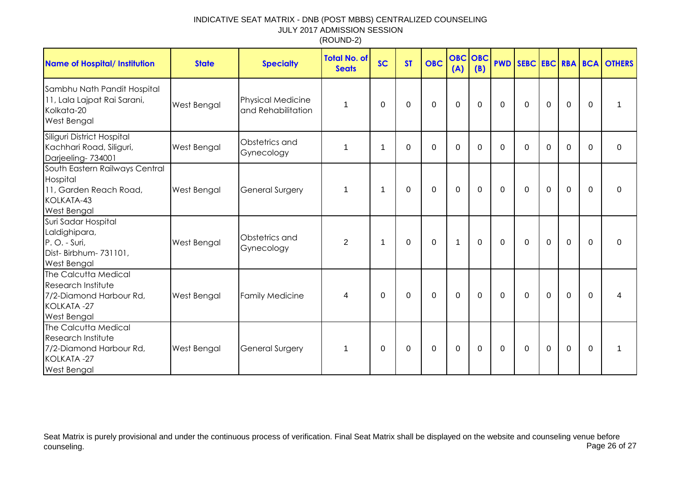| <b>Name of Hospital/ Institution</b>                                                                             | <b>State</b>       | <b>Specialty</b>                               | <b>Total No. of</b><br><b>Seats</b> | <b>SC</b> | <b>ST</b> | <b>OBC</b>  | <b>OBC OBC</b><br>(A) | (B)      |              |              |                |                |          | <b>PWD SEBC EBC RBA BCA OTHERS</b> |
|------------------------------------------------------------------------------------------------------------------|--------------------|------------------------------------------------|-------------------------------------|-----------|-----------|-------------|-----------------------|----------|--------------|--------------|----------------|----------------|----------|------------------------------------|
| Sambhu Nath Pandit Hospital<br>11, Lala Lajpat Rai Sarani,<br>Kolkata-20<br><b>West Bengal</b>                   | West Bengal        | <b>Physical Medicine</b><br>and Rehabilitation | 1                                   | $\Omega$  | $\Omega$  | $\mathbf 0$ | $\mathbf 0$           | $\Omega$ | $\Omega$     | $\Omega$     | $\mathbf 0$    | $\overline{0}$ | $\Omega$ |                                    |
| Siliguri District Hospital<br>Kachhari Road, Siliguri,<br>Darjeeling-734001                                      | West Bengal        | Obstetrics and<br>Gynecology                   | 1                                   | -1        | 0         | 0           | 0                     | 0        | $\Omega$     | $\Omega$     | $\Omega$       | $\overline{0}$ | $\Omega$ | $\mathbf 0$                        |
| South Eastern Railways Central<br>Hospital<br>11, Garden Reach Road,<br>KOLKATA-43<br>West Bengal                | <b>West Bengal</b> | <b>General Surgery</b>                         | 1                                   | -1        | 0         | $\mathbf 0$ | $\mathbf 0$           | 0        | $\mathbf{0}$ | $\mathbf{0}$ | $\overline{0}$ | $\mathbf 0$    | $\Omega$ | $\Omega$                           |
| Suri Sadar Hospital<br>Laldighipara,<br>P.O. - Suri,<br>Dist-Birbhum-731101,<br>West Bengal                      | West Bengal        | Obstetrics and<br>Gynecology                   | 2                                   | -1        | 0         | $\mathbf 0$ | $\mathbf{1}$          | 0        | $\mathbf{0}$ | $\mathbf{0}$ | $\mathbf 0$    | $\mathbf 0$    | $\Omega$ | $\Omega$                           |
| The Calcutta Medical<br><b>Research Institute</b><br>7/2-Diamond Harbour Rd,<br>KOLKATA-27<br><b>West Bengal</b> | <b>West Bengal</b> | <b>Family Medicine</b>                         | $\overline{\mathcal{A}}$            | $\Omega$  | 0         | $\mathbf 0$ | $\mathbf 0$           | $\Omega$ | $\mathbf 0$  | $\Omega$     | $\mathbf 0$    | $\mathbf 0$    | $\Omega$ | 4                                  |
| The Calcutta Medical<br><b>Research Institute</b><br>7/2-Diamond Harbour Rd,<br>KOLKATA-27<br><b>West Bengal</b> | <b>West Bengal</b> | <b>General Surgery</b>                         | $\mathbf 1$                         | $\Omega$  | 0         | $\mathbf 0$ | $\mathbf 0$           | 0        | 0            | $\mathbf{0}$ | $\mathbf 0$    | $\mathbf 0$    | $\Omega$ |                                    |

Seat Matrix is purely provisional and under the continuous process of verification. Final Seat Matrix shall be displayed on the website and counseling venue before<br>Page 26 of 27 counseling. Page 26 of 27